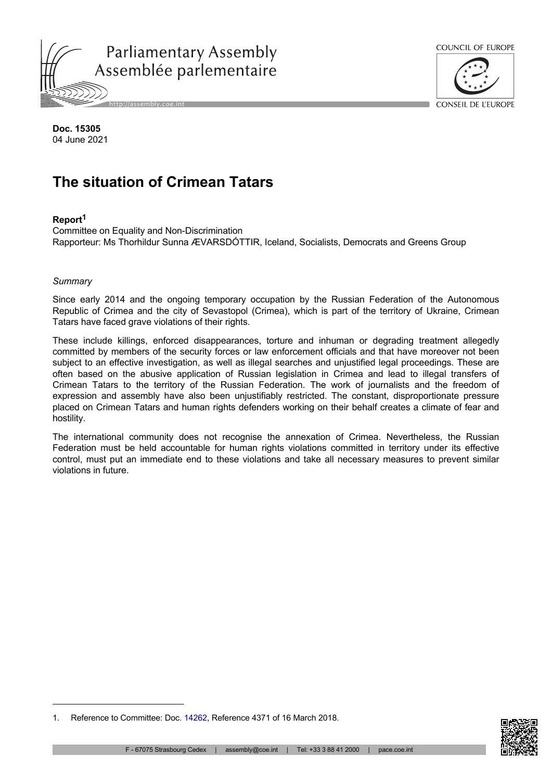



CONSEIL DE L'ELIROPE

**Doc. 15305** 04 June 2021

# **The situation of Crimean Tatars**

## **Report<sup>1</sup>**

Committee on Equality and Non-Discrimination Rapporteur: Ms Thorhildur Sunna ÆVARSDÓTTIR, Iceland, Socialists, Democrats and Greens Group

#### *Summary*

Since early 2014 and the ongoing temporary occupation by the Russian Federation of the Autonomous Republic of Crimea and the city of Sevastopol (Crimea), which is part of the territory of Ukraine, Crimean Tatars have faced grave violations of their rights.

These include killings, enforced disappearances, torture and inhuman or degrading treatment allegedly committed by members of the security forces or law enforcement officials and that have moreover not been subject to an effective investigation, as well as illegal searches and unjustified legal proceedings. These are often based on the abusive application of Russian legislation in Crimea and lead to illegal transfers of Crimean Tatars to the territory of the Russian Federation. The work of journalists and the freedom of expression and assembly have also been unjustifiably restricted. The constant, disproportionate pressure placed on Crimean Tatars and human rights defenders working on their behalf creates a climate of fear and hostility.

The international community does not recognise the annexation of Crimea. Nevertheless, the Russian Federation must be held accountable for human rights violations committed in territory under its effective control, must put an immediate end to these violations and take all necessary measures to prevent similar violations in future.



<sup>1.</sup> Reference to Committee: Doc. [14262](https://pace.coe.int/en/files/23479), Reference 4371 of 16 March 2018.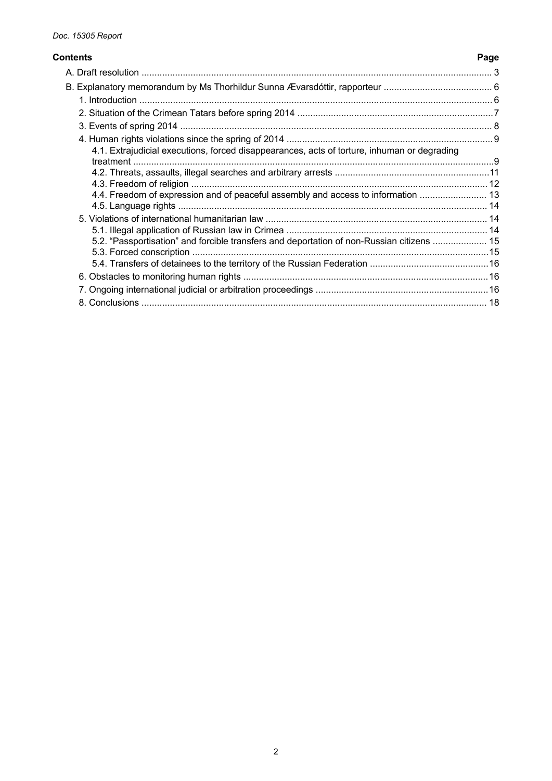#### **Contents Page**

# [A. Draft resolution ........................................................................................................................................](#page-2-0) 3 [B. Explanatory memorandum by Ms Thorhildur Sunna Ævarsdóttir, rapporteur ..........................................](#page-5-0) 6 [1. Introduction .........................................................................................................................................6](#page-5-0) [2. Situation of the Crimean Tatars before spring 2014 ............................................................................7](#page-6-0) [3. Events of spring 2014 .........................................................................................................................](#page-7-0) 8 [4. Human rights violations since the spring of 2014 ................................................................................9](#page-8-0) [4.1. Extrajudicial executions, forced disappearances, acts of torture, inhuman or degrading](#page-8-0)  [treatment ............................................................................................................................................9](#page-8-0) [4.2. Threats, assaults, illegal searches and arbitrary arrests ............................................................11](#page-10-0) [4.3. Freedom of religion ...................................................................................................................12](#page-11-0) [4.4. Freedom of expression and of peaceful assembly and access to information ..........................](#page-12-0) 13 [4.5. Language rights ........................................................................................................................14](#page-13-0) [5. Violations of international humanitarian law ......................................................................................14](#page-13-0) [5.1. Illegal application of Russian law in Crimea ..............................................................................14](#page-13-0) [5.2. "Passportisation" and forcible transfers and deportation of non-Russian citizens .....................](#page-14-0) 15 [5.3. Forced conscription ...................................................................................................................15](#page-14-0) [5.4. Transfers of detainees to the territory of the Russian Federation ..............................................16](#page-15-0) [6. Obstacles to monitoring human rights ...............................................................................................16](#page-15-0) [7. Ongoing international judicial or arbitration proceedings ...................................................................16](#page-15-0) [8. Conclusions ......................................................................................................................................](#page-17-0) 18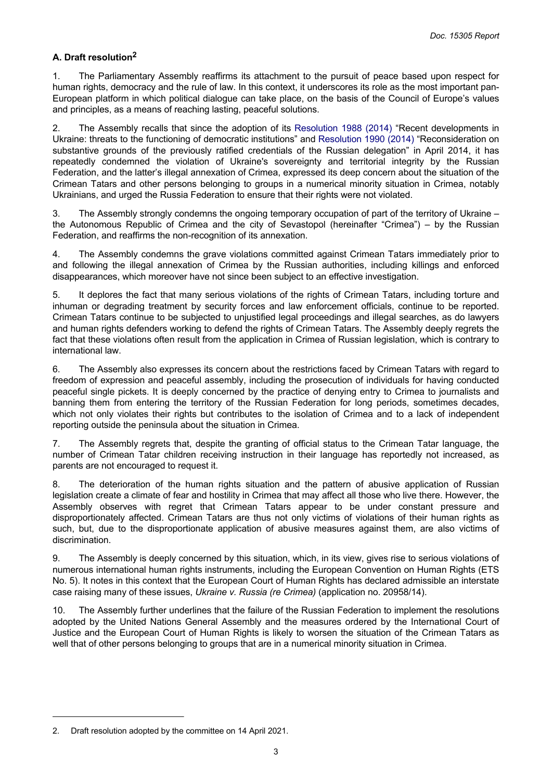# <span id="page-2-0"></span>**A. Draft resolution<sup>2</sup>**

1. The Parliamentary Assembly reaffirms its attachment to the pursuit of peace based upon respect for human rights, democracy and the rule of law. In this context, it underscores its role as the most important pan-European platform in which political dialogue can take place, on the basis of the Council of Europe's values and principles, as a means of reaching lasting, peaceful solutions.

2. The Assembly recalls that since the adoption of its [Resolution](https://pace.coe.int/en/files/20873) 1988 (2014) "Recent developments in Ukraine: threats to the functioning of democratic institutions" and [Resolution 1990 \(2014\)](https://pace.coe.int/en/files/20882) "Reconsideration on substantive grounds of the previously ratified credentials of the Russian delegation" in April 2014, it has repeatedly condemned the violation of Ukraine's sovereignty and territorial integrity by the Russian Federation, and the latter's illegal annexation of Crimea, expressed its deep concern about the situation of the Crimean Tatars and other persons belonging to groups in a numerical minority situation in Crimea, notably Ukrainians, and urged the Russia Federation to ensure that their rights were not violated.

3. The Assembly strongly condemns the ongoing temporary occupation of part of the territory of Ukraine – the Autonomous Republic of Crimea and the city of Sevastopol (hereinafter "Crimea") – by the Russian Federation, and reaffirms the non-recognition of its annexation.

4. The Assembly condemns the grave violations committed against Crimean Tatars immediately prior to and following the illegal annexation of Crimea by the Russian authorities, including killings and enforced disappearances, which moreover have not since been subject to an effective investigation.

5. It deplores the fact that many serious violations of the rights of Crimean Tatars, including torture and inhuman or degrading treatment by security forces and law enforcement officials, continue to be reported. Crimean Tatars continue to be subjected to unjustified legal proceedings and illegal searches, as do lawyers and human rights defenders working to defend the rights of Crimean Tatars. The Assembly deeply regrets the fact that these violations often result from the application in Crimea of Russian legislation, which is contrary to international law.

6. The Assembly also expresses its concern about the restrictions faced by Crimean Tatars with regard to freedom of expression and peaceful assembly, including the prosecution of individuals for having conducted peaceful single pickets. It is deeply concerned by the practice of denying entry to Crimea to journalists and banning them from entering the territory of the Russian Federation for long periods, sometimes decades, which not only violates their rights but contributes to the isolation of Crimea and to a lack of independent reporting outside the peninsula about the situation in Crimea.

7. The Assembly regrets that, despite the granting of official status to the Crimean Tatar language, the number of Crimean Tatar children receiving instruction in their language has reportedly not increased, as parents are not encouraged to request it.

8. The deterioration of the human rights situation and the pattern of abusive application of Russian legislation create a climate of fear and hostility in Crimea that may affect all those who live there. However, the Assembly observes with regret that Crimean Tatars appear to be under constant pressure and disproportionately affected. Crimean Tatars are thus not only victims of violations of their human rights as such, but, due to the disproportionate application of abusive measures against them, are also victims of discrimination.

9. The Assembly is deeply concerned by this situation, which, in its view, gives rise to serious violations of numerous international human rights instruments, including the European Convention on Human Rights (ETS No. 5). It notes in this context that the European Court of Human Rights has declared admissible an interstate case raising many of these issues, *Ukraine v. Russia (re Crimea)* (application no. 20958/14).

10. The Assembly further underlines that the failure of the Russian Federation to implement the resolutions adopted by the United Nations General Assembly and the measures ordered by the International Court of Justice and the European Court of Human Rights is likely to worsen the situation of the Crimean Tatars as well that of other persons belonging to groups that are in a numerical minority situation in Crimea.

<sup>2.</sup> Draft resolution adopted by the committee on 14 April 2021.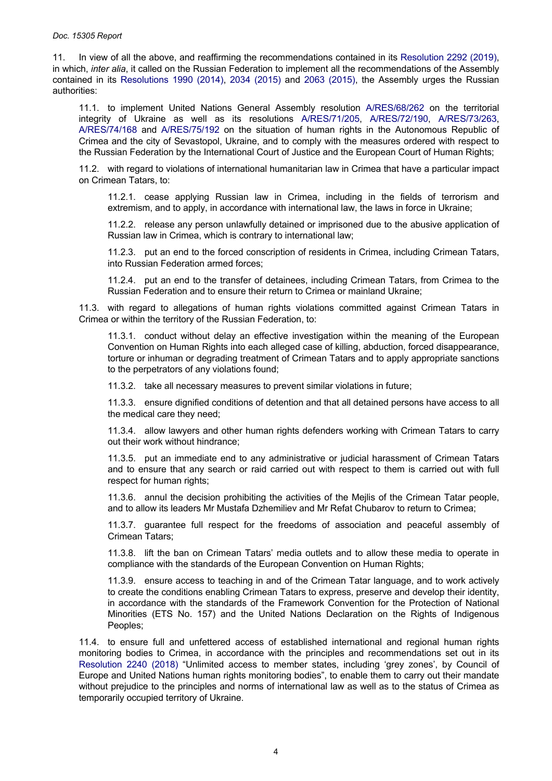11. In view of all the above, and reaffirming the recommendations contained in its [Resolution](https://pace.coe.int/en/files/28049) 2292 (2019), in which, *inter alia*, it called on the Russian Federation to implement all the recommendations of the Assembly contained in its [Resolutions](https://pace.coe.int/en/files/20882) 1990 (2014), 2034 [\(2015\)](http://assembly.coe.int/nw/xml/XRef/Xref-XML2HTML-en.asp?fileid=21538&lang=en) and 2063 [\(2015\)](http://assembly.coe.int/nw/xml/XRef/Xref-XML2HTML-en.asp?fileid=21956&lang=en), the Assembly urges the Russian authorities:

11.1. to implement United Nations General Assembly resolution [A/RES/68/262](https://undocs.org/en/A/RES/68/262) on the territorial integrity of Ukraine as well as its resolutions [A/RES/71/205,](https://undocs.org/en/A/RES/71/205) [A/RES/72/190,](https://undocs.org/en/A/RES/72/190) [A/RES/73/263,](https://undocs.org/en/A/RES/73/263) [A/RES/74/168](https://undocs.org/en/a/res/74/168) and [A/RES/75/192](https://undocs.org/en/a/res/75/192) on the situation of human rights in the Autonomous Republic of Crimea and the city of Sevastopol, Ukraine, and to comply with the measures ordered with respect to the Russian Federation by the International Court of Justice and the European Court of Human Rights;

11.2. with regard to violations of international humanitarian law in Crimea that have a particular impact on Crimean Tatars, to:

11.2.1. cease applying Russian law in Crimea, including in the fields of terrorism and extremism, and to apply, in accordance with international law, the laws in force in Ukraine;

11.2.2. release any person unlawfully detained or imprisoned due to the abusive application of Russian law in Crimea, which is contrary to international law;

11.2.3. put an end to the forced conscription of residents in Crimea, including Crimean Tatars, into Russian Federation armed forces;

11.2.4. put an end to the transfer of detainees, including Crimean Tatars, from Crimea to the Russian Federation and to ensure their return to Crimea or mainland Ukraine;

11.3. with regard to allegations of human rights violations committed against Crimean Tatars in Crimea or within the territory of the Russian Federation, to:

11.3.1. conduct without delay an effective investigation within the meaning of the European Convention on Human Rights into each alleged case of killing, abduction, forced disappearance, torture or inhuman or degrading treatment of Crimean Tatars and to apply appropriate sanctions to the perpetrators of any violations found;

11.3.2. take all necessary measures to prevent similar violations in future;

11.3.3. ensure dignified conditions of detention and that all detained persons have access to all the medical care they need;

11.3.4. allow lawyers and other human rights defenders working with Crimean Tatars to carry out their work without hindrance;

11.3.5. put an immediate end to any administrative or judicial harassment of Crimean Tatars and to ensure that any search or raid carried out with respect to them is carried out with full respect for human rights;

11.3.6. annul the decision prohibiting the activities of the Mejlis of the Crimean Tatar people, and to allow its leaders Mr Mustafa Dzhemiliev and Mr Refat Chubarov to return to Crimea;

11.3.7. guarantee full respect for the freedoms of association and peaceful assembly of Crimean Tatars;

11.3.8. lift the ban on Crimean Tatars' media outlets and to allow these media to operate in compliance with the standards of the European Convention on Human Rights;

11.3.9. ensure access to teaching in and of the Crimean Tatar language, and to work actively to create the conditions enabling Crimean Tatars to express, preserve and develop their identity, in accordance with the standards of the Framework Convention for the Protection of National Minorities (ETS No. 157) and the United Nations Declaration on the Rights of Indigenous Peoples;

11.4. to ensure full and unfettered access of established international and regional human rights monitoring bodies to Crimea, in accordance with the principles and recommendations set out in its [Resolution](https://pace.coe.int/en/files/25168) 2240 (2018) "Unlimited access to member states, including 'grey zones', by Council of Europe and United Nations human rights monitoring bodies", to enable them to carry out their mandate without prejudice to the principles and norms of international law as well as to the status of Crimea as temporarily occupied territory of Ukraine.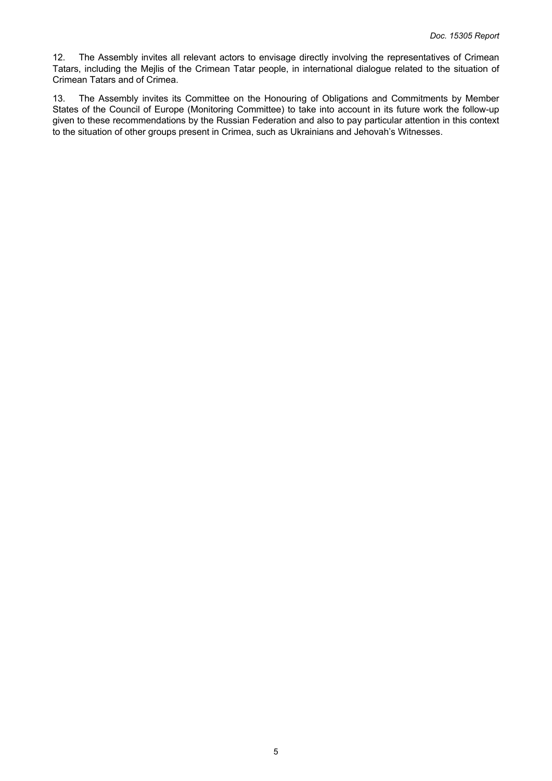12. The Assembly invites all relevant actors to envisage directly involving the representatives of Crimean Tatars, including the Mejlis of the Crimean Tatar people, in international dialogue related to the situation of Crimean Tatars and of Crimea.

13. The Assembly invites its Committee on the Honouring of Obligations and Commitments by Member States of the Council of Europe (Monitoring Committee) to take into account in its future work the follow-up given to these recommendations by the Russian Federation and also to pay particular attention in this context to the situation of other groups present in Crimea, such as Ukrainians and Jehovah's Witnesses.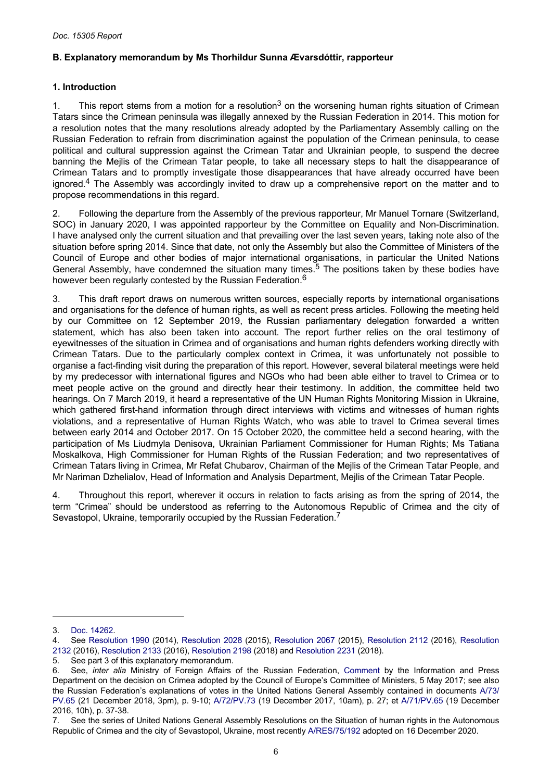# <span id="page-5-0"></span>**B. Explanatory memorandum by Ms Thorhildur Sunna Ævarsdóttir, rapporteur**

# **1. Introduction**

1. This report stems from a motion for a resolution<sup>3</sup> on the worsening human rights situation of Crimean Tatars since the Crimean peninsula was illegally annexed by the Russian Federation in 2014. This motion for a resolution notes that the many resolutions already adopted by the Parliamentary Assembly calling on the Russian Federation to refrain from discrimination against the population of the Crimean peninsula, to cease political and cultural suppression against the Crimean Tatar and Ukrainian people, to suspend the decree banning the Mejlis of the Crimean Tatar people, to take all necessary steps to halt the disappearance of Crimean Tatars and to promptly investigate those disappearances that have already occurred have been ignored.<sup>4</sup> The Assembly was accordingly invited to draw up a comprehensive report on the matter and to propose recommendations in this regard.

2. Following the departure from the Assembly of the previous rapporteur, Mr Manuel Tornare (Switzerland, SOC) in January 2020, I was appointed rapporteur by the Committee on Equality and Non-Discrimination. I have analysed only the current situation and that prevailing over the last seven years, taking note also of the situation before spring 2014. Since that date, not only the Assembly but also the Committee of Ministers of the Council of Europe and other bodies of major international organisations, in particular the United Nations General Assembly, have condemned the situation many times.<sup>5</sup> The positions taken by these bodies have however been regularly contested by the Russian Federation.<sup>6</sup>

3. This draft report draws on numerous written sources, especially reports by international organisations and organisations for the defence of human rights, as well as recent press articles. Following the meeting held by our Committee on 12 September 2019, the Russian parliamentary delegation forwarded a written statement, which has also been taken into account. The report further relies on the oral testimony of eyewitnesses of the situation in Crimea and of organisations and human rights defenders working directly with Crimean Tatars. Due to the particularly complex context in Crimea, it was unfortunately not possible to organise a fact-finding visit during the preparation of this report. However, several bilateral meetings were held by my predecessor with international figures and NGOs who had been able either to travel to Crimea or to meet people active on the ground and directly hear their testimony. In addition, the committee held two hearings. On 7 March 2019, it heard a representative of the UN Human Rights Monitoring Mission in Ukraine, which gathered first-hand information through direct interviews with victims and witnesses of human rights violations, and a representative of Human Rights Watch, who was able to travel to Crimea several times between early 2014 and October 2017. On 15 October 2020, the committee held a second hearing, with the participation of Ms Liudmyla Denisova, Ukrainian Parliament Commissioner for Human Rights; Ms Tatiana Moskalkova, High Commissioner for Human Rights of the Russian Federation; and two representatives of Crimean Tatars living in Crimea, Mr Refat Chubarov, Chairman of the Mejlis of the Crimean Tatar People, and Mr Nariman Dzhelialov, Head of Information and Analysis Department, Mejlis of the Crimean Tatar People.

4. Throughout this report, wherever it occurs in relation to facts arising as from the spring of 2014, the term "Crimea" should be understood as referring to the Autonomous Republic of Crimea and the city of Sevastopol, Ukraine, temporarily occupied by the Russian Federation.<sup>7</sup>

<sup>3.</sup> [Doc. 14262](https://pace.coe.int/en/files/23479).

<sup>4.</sup> See [Resolution](https://pace.coe.int/en/files/20882) 1990 (2014), [Resolution](https://pace.coe.int/en/files/21480) 2028 (2015), [Resolution](https://pace.coe.int/en/files/21970) 2067 (2015), [Resolution](https://pace.coe.int/en/files/22750) 2112 (2016), [Resolution](https://pace.coe.int/en/files/23166)  [2132](https://pace.coe.int/en/files/23166) (2016), [Resolution 2133](https://pace.coe.int/en/files/23167) (2016), [Resolution 2198](https://pace.coe.int/en/files/24432) (2018) and [Resolution 2231](https://pace.coe.int/en/files/24994) (2018).

<sup>5.</sup> See part 3 of this explanatory memorandum.<br>6. See, *inter alia* Ministry of Foreian Affairs

<sup>6.</sup> See, *inter alia* Ministry of Foreign Affairs of the Russian Federation, [Comment](http://www.mid.ru/en/kommentarii/-/asset_publisher/2MrVt3CzL5sw/content/id/2745902) by the Information and Press Department on the decision on Crimea adopted by the Council of Europe's Committee of Ministers, 5 May 2017; see also the Russian Federation's explanations of votes in the United Nations General Assembly contained in documents [A/73/](https://undocs.org/en/A/73/PV.65) [PV.65](https://undocs.org/en/A/73/PV.65) (21 December 2018, 3pm), p. 9-10; [A/72/PV.73](https://undocs.org/en/A/72/PV.73) (19 December 2017, 10am), p. 27; et [A/71/PV.65](https://undocs.org/en/A/71/PV.65) (19 December 2016, 10h), p. 37-38.

<sup>7.</sup> See the series of United Nations General Assembly Resolutions on the Situation of human rights in the Autonomous Republic of Crimea and the city of Sevastopol, Ukraine, most recently [A/RES/75/192](https://undocs.org/en/A/RES/75/192) adopted on 16 December 2020.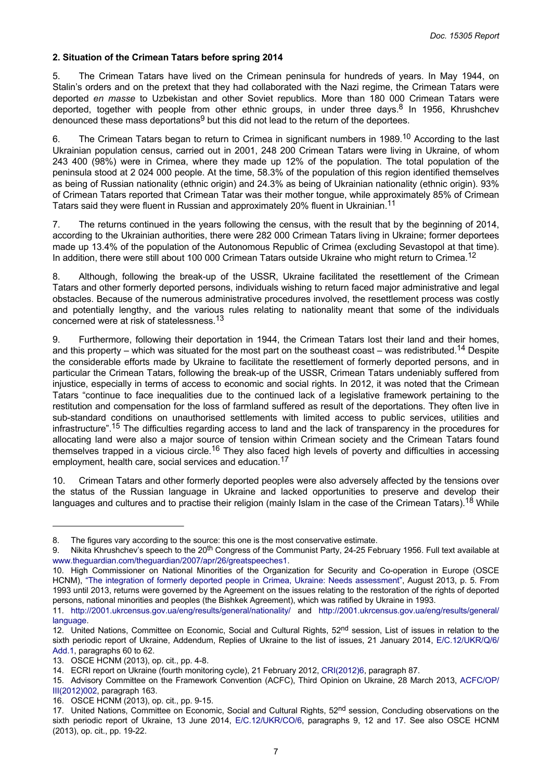#### <span id="page-6-0"></span>**2. Situation of the Crimean Tatars before spring 2014**

5. The Crimean Tatars have lived on the Crimean peninsula for hundreds of years. In May 1944, on Stalin's orders and on the pretext that they had collaborated with the Nazi regime, the Crimean Tatars were deported *en masse* to Uzbekistan and other Soviet republics. More than 180 000 Crimean Tatars were deported, together with people from other ethnic groups, in under three days.<sup>8</sup> In 1956, Khrushchev denounced these mass deportations $9$  but this did not lead to the return of the deportees.

6. The Crimean Tatars began to return to Crimea in significant numbers in 1989.<sup>10</sup> According to the last Ukrainian population census, carried out in 2001, 248 200 Crimean Tatars were living in Ukraine, of whom 243 400 (98%) were in Crimea, where they made up 12% of the population. The total population of the peninsula stood at 2 024 000 people. At the time, 58.3% of the population of this region identified themselves as being of Russian nationality (ethnic origin) and 24.3% as being of Ukrainian nationality (ethnic origin). 93% of Crimean Tatars reported that Crimean Tatar was their mother tongue, while approximately 85% of Crimean Tatars said they were fluent in Russian and approximately 20% fluent in Ukrainian.<sup>11</sup>

7. The returns continued in the years following the census, with the result that by the beginning of 2014, according to the Ukrainian authorities, there were 282 000 Crimean Tatars living in Ukraine; former deportees made up 13.4% of the population of the Autonomous Republic of Crimea (excluding Sevastopol at that time). In addition, there were still about 100 000 Crimean Tatars outside Ukraine who might return to Crimea.<sup>12</sup>

8. Although, following the break-up of the USSR, Ukraine facilitated the resettlement of the Crimean Tatars and other formerly deported persons, individuals wishing to return faced major administrative and legal obstacles. Because of the numerous administrative procedures involved, the resettlement process was costly and potentially lengthy, and the various rules relating to nationality meant that some of the individuals concerned were at risk of statelessness.<sup>13</sup>

9. Furthermore, following their deportation in 1944, the Crimean Tatars lost their land and their homes, and this property – which was situated for the most part on the southeast coast – was redistributed.<sup>14</sup> Despite the considerable efforts made by Ukraine to facilitate the resettlement of formerly deported persons, and in particular the Crimean Tatars, following the break-up of the USSR, Crimean Tatars undeniably suffered from injustice, especially in terms of access to economic and social rights. In 2012, it was noted that the Crimean Tatars "continue to face inequalities due to the continued lack of a legislative framework pertaining to the restitution and compensation for the loss of farmland suffered as result of the deportations. They often live in sub-standard conditions on unauthorised settlements with limited access to public services, utilities and infrastructure".<sup>15</sup> The difficulties regarding access to land and the lack of transparency in the procedures for allocating land were also a major source of tension within Crimean society and the Crimean Tatars found themselves trapped in a vicious circle.<sup>16</sup> They also faced high levels of poverty and difficulties in accessing employment, health care, social services and education.<sup>17</sup>

10. Crimean Tatars and other formerly deported peoples were also adversely affected by the tensions over the status of the Russian language in Ukraine and lacked opportunities to preserve and develop their languages and cultures and to practise their religion (mainly Islam in the case of the Crimean Tatars).<sup>18</sup> While

<sup>8.</sup> The figures vary according to the source: this one is the most conservative estimate.

<sup>9.</sup> Nikita Khrushchev's speech to the 20<sup>th</sup> Congress of the Communist Party, 24-25 February 1956. Full text available at [www.theguardian.com/theguardian/2007/apr/26/greatspeeches1.](https://www.theguardian.com/theguardian/2007/apr/26/greatspeeches1)

<sup>10.</sup> High Commissioner on National Minorities of the Organization for Security and Co-operation in Europe (OSCE HCNM), "The integration of formerly deported people in Crimea, Ukraine: Needs [assessment",](https://www.osce.org/hcnm/104309?download=true) August 2013, p. 5. From 1993 until 2013, returns were governed by the Agreement on the issues relating to the restoration of the rights of deported persons, national minorities and peoples (the Bishkek Agreement), which was ratified by Ukraine in 1993.

<sup>11.</sup> <http://2001.ukrcensus.gov.ua/eng/results/general/nationality/> and [http://2001.ukrcensus.gov.ua/eng/results/general/](http://2001.ukrcensus.gov.ua/eng/results/general/language) [language](http://2001.ukrcensus.gov.ua/eng/results/general/language).

<sup>12.</sup> United Nations, Committee on Economic, Social and Cultural Rights, 52<sup>nd</sup> session, List of issues in relation to the sixth periodic report of Ukraine, Addendum, Replies of Ukraine to the list of issues, 21 January 2014, [E/C.12/UKR/Q/6/](https://docstore.ohchr.org/SelfServices/FilesHandler.ashx?enc=4slQ6QSmlBEDzFEovLCuWxT7OYZyYjJGL8qwRLmzDL%2bzG03YvKL7v4MJrYPDfufzj78iZAjbOuA%2f%2bmOb2u2pH8xp39koPflqTNrHymfJEA7pLzgr4ErwdGJ54RmkQdMyDRx4S5WSfg2yDUi4wYLL2Q%3d%3d) [Add.1,](https://docstore.ohchr.org/SelfServices/FilesHandler.ashx?enc=4slQ6QSmlBEDzFEovLCuWxT7OYZyYjJGL8qwRLmzDL%2bzG03YvKL7v4MJrYPDfufzj78iZAjbOuA%2f%2bmOb2u2pH8xp39koPflqTNrHymfJEA7pLzgr4ErwdGJ54RmkQdMyDRx4S5WSfg2yDUi4wYLL2Q%3d%3d) paragraphs 60 to 62.

<sup>13.</sup> OSCE HCNM (2013), op. cit., pp. 4-8.

<sup>14.</sup> ECRI report on Ukraine (fourth monitoring cycle), 21 February 2012, [CRI\(2012\)6,](https://rm.coe.int/fourth-report-on-ukraine/16808b5ca5) paragraph 87.

<sup>15.</sup> Advisory Committee on the Framework Convention (ACFC), Third Opinion on Ukraine, 28 March 2013, [ACFC/OP/](https://rm.coe.int/168008c6c0) [III\(2012\)002,](https://rm.coe.int/168008c6c0) paragraph 163.

<sup>16.</sup> OSCE HCNM (2013), op. cit., pp. 9-15.

<sup>17.</sup> United Nations, Committee on Economic, Social and Cultural Rights, 52<sup>nd</sup> session, Concluding observations on the sixth periodic report of Ukraine, 13 June 2014, [E/C.12/UKR/CO/6,](https://undocs.org/en/E/C.12/UKR/CO/6) paragraphs 9, 12 and 17. See also OSCE HCNM (2013), op. cit., pp. 19-22.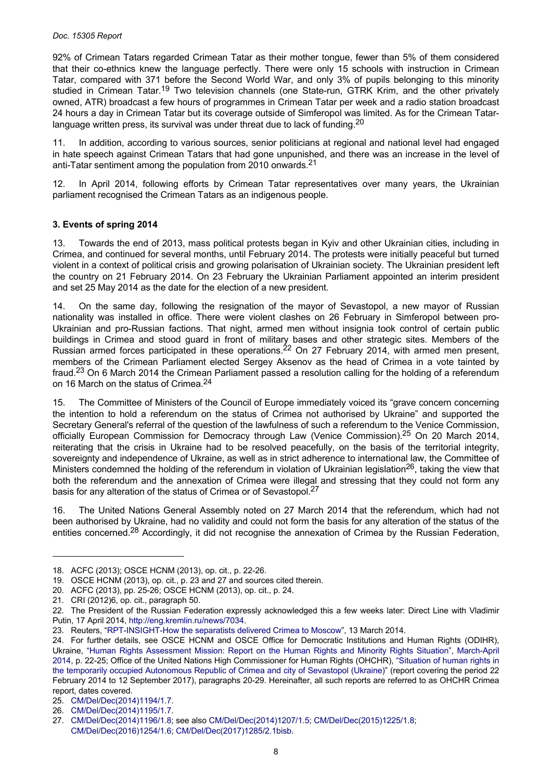<span id="page-7-0"></span>92% of Crimean Tatars regarded Crimean Tatar as their mother tongue, fewer than 5% of them considered that their co-ethnics knew the language perfectly. There were only 15 schools with instruction in Crimean Tatar, compared with 371 before the Second World War, and only 3% of pupils belonging to this minority studied in Crimean Tatar.<sup>19</sup> Two television channels (one State-run, GTRK Krim, and the other privately owned, ATR) broadcast a few hours of programmes in Crimean Tatar per week and a radio station broadcast 24 hours a day in Crimean Tatar but its coverage outside of Simferopol was limited. As for the Crimean Tatarlanguage written press, its survival was under threat due to lack of funding.<sup>20</sup>

11. In addition, according to various sources, senior politicians at regional and national level had engaged in hate speech against Crimean Tatars that had gone unpunished, and there was an increase in the level of anti-Tatar sentiment among the population from 2010 onwards.<sup>21</sup>

12. In April 2014, following efforts by Crimean Tatar representatives over many years, the Ukrainian parliament recognised the Crimean Tatars as an indigenous people.

# **3. Events of spring 2014**

13. Towards the end of 2013, mass political protests began in Kyiv and other Ukrainian cities, including in Crimea, and continued for several months, until February 2014. The protests were initially peaceful but turned violent in a context of political crisis and growing polarisation of Ukrainian society. The Ukrainian president left the country on 21 February 2014. On 23 February the Ukrainian Parliament appointed an interim president and set 25 May 2014 as the date for the election of a new president.

14. On the same day, following the resignation of the mayor of Sevastopol, a new mayor of Russian nationality was installed in office. There were violent clashes on 26 February in Simferopol between pro-Ukrainian and pro-Russian factions. That night, armed men without insignia took control of certain public buildings in Crimea and stood guard in front of military bases and other strategic sites. Members of the Russian armed forces participated in these operations.<sup>22</sup> On 27 February 2014, with armed men present, members of the Crimean Parliament elected Sergey Aksenov as the head of Crimea in a vote tainted by fraud.23 On 6 March 2014 the Crimean Parliament passed a resolution calling for the holding of a referendum on 16 March on the status of Crimea.<sup>24</sup>

15. The Committee of Ministers of the Council of Europe immediately voiced its "grave concern concerning the intention to hold a referendum on the status of Crimea not authorised by Ukraine" and supported the Secretary General's referral of the question of the lawfulness of such a referendum to the Venice Commission, officially European Commission for Democracy through Law (Venice Commission).<sup>25</sup> On 20 March 2014, reiterating that the crisis in Ukraine had to be resolved peacefully, on the basis of the territorial integrity, sovereignty and independence of Ukraine, as well as in strict adherence to international law, the Committee of Ministers condemned the holding of the referendum in violation of Ukrainian legislation<sup>26</sup>, taking the view that both the referendum and the annexation of Crimea were illegal and stressing that they could not form any basis for any alteration of the status of Crimea or of Sevastopol.<sup>27</sup>

16. The United Nations General Assembly noted on 27 March 2014 that the referendum, which had not been authorised by Ukraine, had no validity and could not form the basis for any alteration of the status of the entities concerned.<sup>28</sup> Accordingly, it did not recognise the annexation of Crimea by the Russian Federation,

<sup>18.</sup> ACFC (2013); OSCE HCNM (2013), op. cit., p. 22-26.

<sup>19.</sup> OSCE HCNM (2013), op. cit., p. 23 and 27 and sources cited therein.

<sup>20.</sup> ACFC (2013), pp. 25-26; OSCE HCNM (2013), op. cit., p. 24.

<sup>21.</sup> CRI (2012)6, op. cit., paragraph 50.

<sup>22.</sup> The President of the Russian Federation expressly acknowledged this a few weeks later: Direct Line with Vladimir Putin, 17 April 2014,<http://eng.kremlin.ru/news/7034>.

<sup>23.</sup> Reuters, "[RPT-INSIGHT-How the separatists delivered Crimea to Moscow](https://www.reuters.com/article/ukraine-crisis-russia-aksyonov/rpt-insight-how-the-separatists-delivered-crimea-to-moscow-idUSL6N0M93AH20140313)", 13 March 2014.

<sup>24.</sup> For further details, see OSCE HCNM and OSCE Office for Democratic Institutions and Human Rights (ODIHR), Ukraine, "Human Rights [Assessment](https://www.osce.org/odihr/118476?download=true) Mission: Report on the Human Rights and Minority Rights Situation", March-April [2014,](https://www.osce.org/odihr/118476?download=true) p. 22-25; Office of the United Nations High Commissioner for Human Rights (OHCHR), ["Situation of human rights in](https://www.ohchr.org/Documents/Countries/UA/Crimea2014_2017_EN.pdf)  [the temporarily occupied Autonomous Republic of Crimea and city of Sevastopol \(Ukraine\)](https://www.ohchr.org/Documents/Countries/UA/Crimea2014_2017_EN.pdf)" (report covering the period 22 February 2014 to 12 September 2017), paragraphs 20-29. Hereinafter, all such reports are referred to as OHCHR Crimea report, dates covered.

<sup>25.</sup> [CM/Del/Dec\(2014\)1194/1.7.](https://search.coe.int/cm/Pages/result_details.aspx?ObjectId=09000016805c631a)

<sup>26.</sup> [CM/Del/Dec\(2014\)1195/1.7.](https://search.coe.int/cm/Pages/result_details.aspx?ObjectId=09000016805c615f)

<sup>27.</sup> [CM/Del/Dec\(2014\)1196/1.8;](https://search.coe.int/cm/Pages/result_details.aspx?ObjectId=09000016805c5f7f) see also [CM/Del/Dec\(2014\)1207/1.5;](https://search.coe.int/cm/Pages/result_details.aspx?ObjectId=09000016805c52dc) [CM/Del/Dec\(2015\)1225/1.8;](https://search.coe.int/cm/Pages/result_details.aspx?ObjectId=09000016805c3edc) [CM/Del/Dec\(2016\)1254/1.6;](https://search.coe.int/cm/Pages/result_details.aspx?ObjectId=0900001680648620) [CM/Del/Dec\(2017\)1285/2.1bisb](https://search.coe.int/cm/Pages/result_details.aspx?ObjectId=090000168070ec02).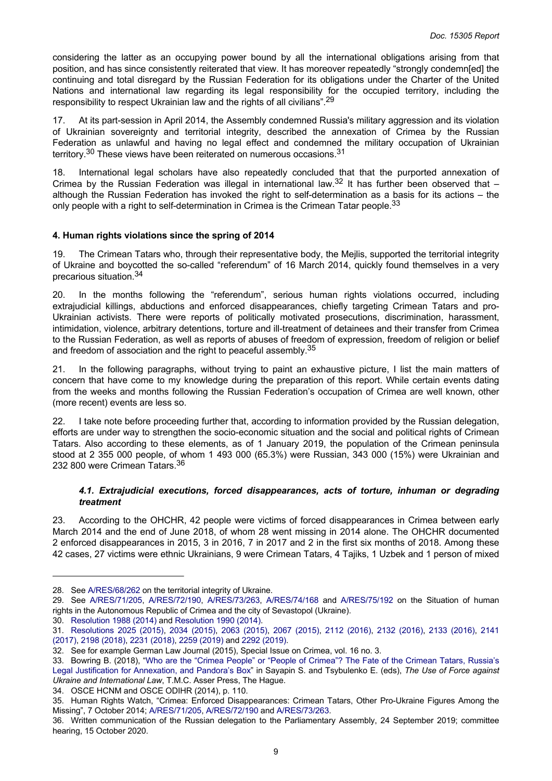<span id="page-8-0"></span>considering the latter as an occupying power bound by all the international obligations arising from that position, and has since consistently reiterated that view. It has moreover repeatedly "strongly condemn[ed] the continuing and total disregard by the Russian Federation for its obligations under the Charter of the United Nations and international law regarding its legal responsibility for the occupied territory, including the responsibility to respect Ukrainian law and the rights of all civilians".<sup>29</sup>

17. At its part-session in April 2014, the Assembly condemned Russia's military aggression and its violation of Ukrainian sovereignty and territorial integrity, described the annexation of Crimea by the Russian Federation as unlawful and having no legal effect and condemned the military occupation of Ukrainian territory.<sup>30</sup> These views have been reiterated on numerous occasions.<sup>31</sup>

18. International legal scholars have also repeatedly concluded that that the purported annexation of Crimea by the Russian Federation was illegal in international law.<sup>32</sup> It has further been observed that  $$ although the Russian Federation has invoked the right to self-determination as a basis for its actions – the only people with a right to self-determination in Crimea is the Crimean Tatar people.<sup>33</sup>

#### **4. Human rights violations since the spring of 2014**

19. The Crimean Tatars who, through their representative body, the Mejlis, supported the territorial integrity of Ukraine and boycotted the so-called "referendum" of 16 March 2014, quickly found themselves in a very precarious situation.<sup>34</sup>

20. In the months following the "referendum", serious human rights violations occurred, including extrajudicial killings, abductions and enforced disappearances, chiefly targeting Crimean Tatars and pro-Ukrainian activists. There were reports of politically motivated prosecutions, discrimination, harassment, intimidation, violence, arbitrary detentions, torture and ill-treatment of detainees and their transfer from Crimea to the Russian Federation, as well as reports of abuses of freedom of expression, freedom of religion or belief and freedom of association and the right to peaceful assembly.<sup>35</sup>

21. In the following paragraphs, without trying to paint an exhaustive picture, I list the main matters of concern that have come to my knowledge during the preparation of this report. While certain events dating from the weeks and months following the Russian Federation's occupation of Crimea are well known, other (more recent) events are less so.

22. I take note before proceeding further that, according to information provided by the Russian delegation, efforts are under way to strengthen the socio-economic situation and the social and political rights of Crimean Tatars. Also according to these elements, as of 1 January 2019, the population of the Crimean peninsula stood at 2 355 000 people, of whom 1 493 000 (65.3%) were Russian, 343 000 (15%) were Ukrainian and 232 800 were Crimean Tatars.<sup>36</sup>

#### *4.1. Extrajudicial executions, forced disappearances, acts of torture, inhuman or degrading treatment*

23. According to the OHCHR, 42 people were victims of forced disappearances in Crimea between early March 2014 and the end of June 2018, of whom 28 went missing in 2014 alone. The OHCHR documented 2 enforced disappearances in 2015, 3 in 2016, 7 in 2017 and 2 in the first six months of 2018. Among these 42 cases, 27 victims were ethnic Ukrainians, 9 were Crimean Tatars, 4 Tajiks, 1 Uzbek and 1 person of mixed

30. [Resolution 1988 \(2014\)](https://pace.coe.int/en/files/20873) and [Resolution 1990 \(2014\)](https://pace.coe.int/en/files/20882).

34. OSCE HCNM and OSCE ODIHR (2014), p. 110.

<sup>28.</sup> See [A/RES/68/262](https://undocs.org/en/A/RES/68/262) on the territorial integrity of Ukraine.

<sup>29.</sup> See [A/RES/71/205](https://undocs.org/en/A/RES/71/205), [A/RES/72/190,](https://undocs.org/en/A/RES/72/190) [A/RES/73/263](https://undocs.org/en/A/RES/73/263), [A/RES/74/168](https://undocs.org/en/a/res/74/168) and [A/RES/75/192](https://undocs.org/en/a/res/75/192) on the Situation of human rights in the Autonomous Republic of Crimea and the city of Sevastopol (Ukraine).

<sup>31.</sup> [Resolutions](https://pace.coe.int/en/files/21326) 2025 (2015), 2034 [\(2015\),](https://pace.coe.int/en/files/21538) 2063 [\(2015\)](https://pace.coe.int/en/files/21956), 2067 [\(2015\)](https://pace.coe.int/en/files/21970), 2112 [\(2016\)](https://pace.coe.int/en/files/22750), 2132 [\(2016\)](https://pace.coe.int/en/files/23166), 2133 [\(2016\)](https://pace.coe.int/en/files/23167), [2141](https://pace.coe.int/en/files/23400)  [\(2017\)](https://pace.coe.int/en/files/23400), [2198 \(2018\)](https://pace.coe.int/en/files/24432), [2231 \(2018\)](https://pace.coe.int/en/files/24994), [2259 \(2019\)](https://pace.coe.int/en/files/25419) and [2292 \(2019\).](https://pace.coe.int/en/files/28049)

<sup>32.</sup> See for example German Law Journal (2015), Special Issue on Crimea, vol. 16 no. 3.

<sup>33.</sup> Bowring B. (2018), "Who are the "Crimea People" or "People of [Crimea"?](https://doi.org/10.1007/978-94-6265-222-4_2) The Fate of the Crimean Tatars, Russia's Legal Justification for [Annexation,](https://doi.org/10.1007/978-94-6265-222-4_2) and Pandora's Box" in Sayapin S. and Tsybulenko E. (eds), *The Use of Force against Ukraine and International Law*, T.M.C. Asser Press, The Hague.

<sup>35.</sup> Human Rights Watch, "Crimea: Enforced Disappearances: Crimean Tatars, Other Pro-Ukraine Figures Among the Missing", 7 October 2014; [A/RES/71/205](https://undocs.org/en/A/RES/71/205), [A/RES/72/190](https://undocs.org/en/A/RES/72/190) and [A/RES/73/263.](https://undocs.org/en/A/RES/73/263)

<sup>36.</sup> Written communication of the Russian delegation to the Parliamentary Assembly, 24 September 2019; committee hearing, 15 October 2020.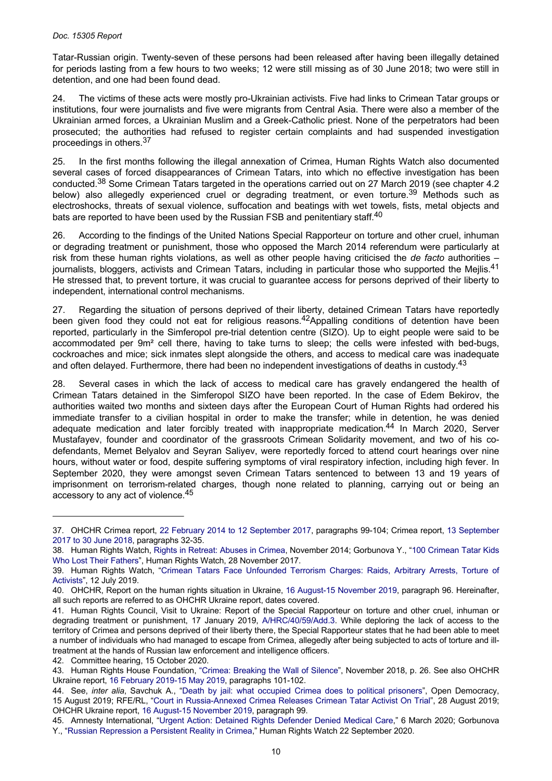Tatar-Russian origin. Twenty-seven of these persons had been released after having been illegally detained for periods lasting from a few hours to two weeks; 12 were still missing as of 30 June 2018; two were still in detention, and one had been found dead.

24. The victims of these acts were mostly pro-Ukrainian activists. Five had links to Crimean Tatar groups or institutions, four were journalists and five were migrants from Central Asia. There were also a member of the Ukrainian armed forces, a Ukrainian Muslim and a Greek-Catholic priest. None of the perpetrators had been prosecuted; the authorities had refused to register certain complaints and had suspended investigation proceedings in others.<sup>37</sup>

25. In the first months following the illegal annexation of Crimea, Human Rights Watch also documented several cases of forced disappearances of Crimean Tatars, into which no effective investigation has been conducted.38 Some Crimean Tatars targeted in the operations carried out on 27 March 2019 (see chapter 4.2 below) also allegedly experienced cruel or degrading treatment, or even torture.<sup>39</sup> Methods such as electroshocks, threats of sexual violence, suffocation and beatings with wet towels, fists, metal objects and bats are reported to have been used by the Russian FSB and penitentiary staff.<sup>40</sup>

26. According to the findings of the United Nations Special Rapporteur on torture and other cruel, inhuman or degrading treatment or punishment, those who opposed the March 2014 referendum were particularly at risk from these human rights violations, as well as other people having criticised the *de facto* authorities – journalists, bloggers, activists and Crimean Tatars, including in particular those who supported the Meilis.<sup>41</sup> He stressed that, to prevent torture, it was crucial to guarantee access for persons deprived of their liberty to independent, international control mechanisms.

27. Regarding the situation of persons deprived of their liberty, detained Crimean Tatars have reportedly been given food they could not eat for religious reasons.<sup>42</sup>Appalling conditions of detention have been reported, particularly in the Simferopol pre-trial detention centre (SIZO). Up to eight people were said to be accommodated per 9m² cell there, having to take turns to sleep; the cells were infested with bed-bugs, cockroaches and mice; sick inmates slept alongside the others, and access to medical care was inadequate and often delayed. Furthermore, there had been no independent investigations of deaths in custody.<sup>43</sup>

28. Several cases in which the lack of access to medical care has gravely endangered the health of Crimean Tatars detained in the Simferopol SIZO have been reported. In the case of Edem Bekirov, the authorities waited two months and sixteen days after the European Court of Human Rights had ordered his immediate transfer to a civilian hospital in order to make the transfer; while in detention, he was denied adequate medication and later forcibly treated with inappropriate medication.<sup>44</sup> In March 2020, Server Mustafayev, founder and coordinator of the grassroots Crimean Solidarity movement, and two of his codefendants, Memet Belyalov and Seyran Saliyev, were reportedly forced to attend court hearings over nine hours, without water or food, despite suffering symptoms of viral respiratory infection, including high fever. In September 2020, they were amongst seven Crimean Tatars sentenced to between 13 and 19 years of imprisonment on terrorism-related charges, though none related to planning, carrying out or being an accessory to any act of violence.<sup>45</sup>

<sup>37.</sup> OHCHR Crimea report, 22 February 2014 to 12 [September](https://www.ohchr.org/Documents/Countries/UA/Crimea2014_2017_EN.pdf) 2017, paragraphs 99-104; Crimea report, 13 [September](https://www.ohchr.org/Documents/Countries/UA/CrimeaThematicReport10Sept2018_EN.pdf)  [2017 to 30 June 2018,](https://www.ohchr.org/Documents/Countries/UA/CrimeaThematicReport10Sept2018_EN.pdf) paragraphs 32-35.

<sup>38.</sup> Human Rights Watch, [Rights in Retreat: Abuses in Crimea,](https://www.hrw.org/report/2014/11/17/rights-retreat/abuses-crimea) November 2014; Gorbunova Y., ["100 Crimean Tatar Kids](https://www.hrw.org/news/2017/11/28/100-crimean-tatar-kids-who-lost-their-fathers)  [Who Lost Their Fathers"](https://www.hrw.org/news/2017/11/28/100-crimean-tatar-kids-who-lost-their-fathers), Human Rights Watch, 28 November 2017.

<sup>39.</sup> Human Rights Watch, "Crimean Tatars Face [Unfounded](https://www.hrw.org/news/2019/07/12/crimean-tatars-face-unfounded-terrorism-charges) Terrorism Charges: Raids, Arbitrary Arrests, Torture of [Activists](https://www.hrw.org/news/2019/07/12/crimean-tatars-face-unfounded-terrorism-charges)", 12 July 2019.

<sup>40.</sup> OHCHR, Report on the human rights situation in Ukraine, 16 August-15 [November](https://www.ohchr.org/Documents/Countries/UA/28thReportUkraine_EN.pdf) 2019, paragraph 96. Hereinafter, all such reports are referred to as OHCHR Ukraine report, dates covered.

<sup>41.</sup> Human Rights Council, Visit to Ukraine: Report of the Special Rapporteur on torture and other cruel, inhuman or degrading treatment or punishment, 17 January 2019, [A/HRC/40/59/Add.3](https://undocs.org/en/A/HRC/40/59/Add.3). While deploring the lack of access to the territory of Crimea and persons deprived of their liberty there, the Special Rapporteur states that he had been able to meet a number of individuals who had managed to escape from Crimea, allegedly after being subjected to acts of torture and illtreatment at the hands of Russian law enforcement and intelligence officers.

<sup>42.</sup> Committee hearing, 15 October 2020.

<sup>43.</sup> Human Rights House Foundation, "Crimea: [Breaking](https://humanrightshouse.org/wp-content/uploads/2018/12/web-Crimea-breaking-the-wall-of-silence.pdf) the Wall of Silence", November 2018, p. 26. See also OHCHR Ukraine report, [16 February 2019-15 May 2019,](https://www.ohchr.org/Documents/Countries/UA/ReportUkraine16Feb-15May2019_EN.pdf) paragraphs 101-102.

<sup>44.</sup> See, *inter alia*, Savchuk A., "Death by jail: what occupied Crimea does to political [prisoners"](https://www.opendemocracy.net/en/odr/simferopol-detention-centre-crimea-political-prisoners/), Open Democracy, 15 August 2019; RFE/RL, "Court in [Russia-Annexed](https://www.rferl.org/a/crimea-court-releases-bekirov-crimean-tatar-activist/30131986.html) Crimea Releases Crimean Tatar Activist On Trial", 28 August 2019; OHCHR Ukraine report, [16 August-15 November 2019,](https://www.ohchr.org/Documents/Countries/UA/28thReportUkraine_EN.pdf) paragraph 99.

<sup>45.</sup> Amnesty International, "Urgent Action: Detained Rights [Defender](https://www.amnesty.org/download/Documents/EUR4619352020ENGLISH.pdf) Denied Medical Care," 6 March 2020; Gorbunova Y., "[Russian Repression a Persistent Reality in Crimea](https://www.hrw.org/news/2020/09/22/russian-repression-persistent-reality-crimea)," Human Rights Watch 22 September 2020.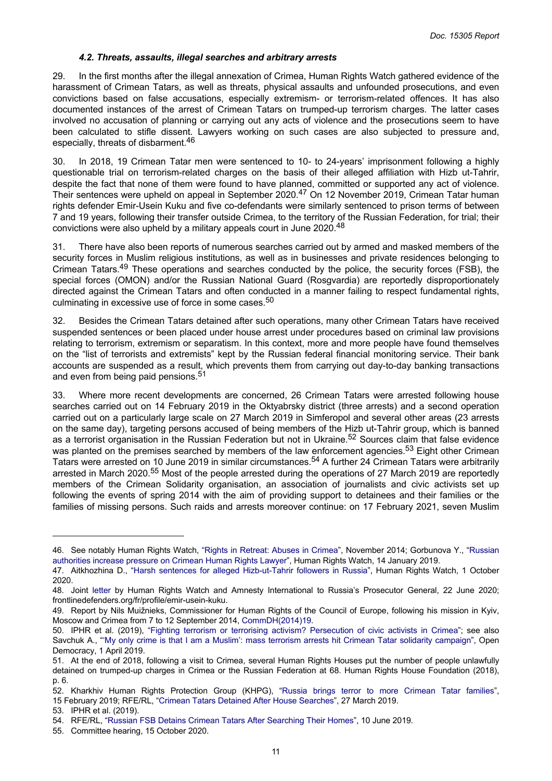#### *4.2. Threats, assaults, illegal searches and arbitrary arrests*

<span id="page-10-0"></span>29. In the first months after the illegal annexation of Crimea, Human Rights Watch gathered evidence of the harassment of Crimean Tatars, as well as threats, physical assaults and unfounded prosecutions, and even convictions based on false accusations, especially extremism- or terrorism-related offences. It has also documented instances of the arrest of Crimean Tatars on trumped-up terrorism charges. The latter cases involved no accusation of planning or carrying out any acts of violence and the prosecutions seem to have been calculated to stifle dissent. Lawyers working on such cases are also subjected to pressure and, especially, threats of disbarment.<sup>46</sup>

30. In 2018, 19 Crimean Tatar men were sentenced to 10- to 24-years' imprisonment following a highly questionable trial on terrorism-related charges on the basis of their alleged affiliation with Hizb ut-Tahrir, despite the fact that none of them were found to have planned, committed or supported any act of violence. Their sentences were upheld on appeal in September 2020.<sup>47</sup> On 12 November 2019, Crimean Tatar human rights defender Emir-Usein Kuku and five co-defendants were similarly sentenced to prison terms of between 7 and 19 years, following their transfer outside Crimea, to the territory of the Russian Federation, for trial; their convictions were also upheld by a military appeals court in June 2020.<sup>48</sup>

There have also been reports of numerous searches carried out by armed and masked members of the security forces in Muslim religious institutions, as well as in businesses and private residences belonging to Crimean Tatars.<sup>49</sup> These operations and searches conducted by the police, the security forces (FSB), the special forces (OMON) and/or the Russian National Guard (Rosgvardia) are reportedly disproportionately directed against the Crimean Tatars and often conducted in a manner failing to respect fundamental rights, culminating in excessive use of force in some cases.<sup>50</sup>

32. Besides the Crimean Tatars detained after such operations, many other Crimean Tatars have received suspended sentences or been placed under house arrest under procedures based on criminal law provisions relating to terrorism, extremism or separatism. In this context, more and more people have found themselves on the "list of terrorists and extremists" kept by the Russian federal financial monitoring service. Their bank accounts are suspended as a result, which prevents them from carrying out day-to-day banking transactions and even from being paid pensions.<sup>51</sup>

33. Where more recent developments are concerned, 26 Crimean Tatars were arrested following house searches carried out on 14 February 2019 in the Oktyabrsky district (three arrests) and a second operation carried out on a particularly large scale on 27 March 2019 in Simferopol and several other areas (23 arrests on the same day), targeting persons accused of being members of the Hizb ut-Tahrir group, which is banned as a terrorist organisation in the Russian Federation but not in Ukraine.<sup>52</sup> Sources claim that false evidence was planted on the premises searched by members of the law enforcement agencies.<sup>53</sup> Eight other Crimean Tatars were arrested on 10 June 2019 in similar circumstances.54 A further 24 Crimean Tatars were arbitrarily arrested in March 2020.<sup>55</sup> Most of the people arrested during the operations of 27 March 2019 are reportedly members of the Crimean Solidarity organisation, an association of journalists and civic activists set up following the events of spring 2014 with the aim of providing support to detainees and their families or the families of missing persons. Such raids and arrests moreover continue: on 17 February 2021, seven Muslim

<sup>46.</sup> See notably Human Rights Watch, "Rights in [Retreat:](https://www.hrw.org/report/2014/11/17/rights-retreat/abuses-crimea) Abuses in Crimea", November 2014; Gorbunova Y., ["Russian](https://www.hrw.org/news/2019/01/14/russian-authorities-increase-pressure-crimean-human-rights-lawyer)  [authorities increase pressure on Crimean Human Rights Lawyer](https://www.hrw.org/news/2019/01/14/russian-authorities-increase-pressure-crimean-human-rights-lawyer)", Human Rights Watch, 14 January 2019.

<sup>47.</sup> Aitkhozhina D., "Harsh sentences for alleged [Hizb-ut-Tahrir](https://www.hrw.org/news/2020/10/01/harsh-sentences-alleged-hizb-ut-tahrir-followers-russia) followers in Russia", Human Rights Watch, 1 October 2020.

<sup>48.</sup> Joint [letter](https://www.hrw.org/news/2020/06/22/joint-letter-human-rights-watch-and-amnesty-international-russias-prosecutor) by Human Rights Watch and Amnesty International to Russia's Prosecutor General, 22 June 2020; frontlinedefenders.org/fr/profile/emir-usein-kuku.

<sup>49.</sup> Report by Nils Muižnieks, Commissioner for Human Rights of the Council of Europe, following his mission in Kyiv, Moscow and Crimea from 7 to 12 September 2014, [CommDH\(2014\)19.](https://rm.coe.int/ref/CommDH(2014)19)

<sup>50.</sup> IPHR et al. (2019), "Fighting terrorism or terrorising activism? [Persecution](https://www.iphronline.org/wp-content/uploads/2019/05/Crimea-report-new-full-lr.pdf) of civic activists in Crimea"; see also Savchuk A., "'My only crime is that I am a Muslim': mass terrorism arrests hit Crimean Tatar solidarity [campaign](https://www.opendemocracy.net/en/odr/my-only-crime-is-that-i-am-a-muslim-mass-terrorism-arrests-hit-crimean-tatar-solidarity-campaign/)", Open Democracy, 1 April 2019.

<sup>51.</sup> At the end of 2018, following a visit to Crimea, several Human Rights Houses put the number of people unlawfully detained on trumped-up charges in Crimea or the Russian Federation at 68. Human Rights House Foundation (2018), p. 6.

<sup>52.</sup> Kharkhiv Human Rights Protection Group (KHPG), "Russia brings terror to more [Crimean](http://khpg.org/en/index.php?id=1550186548) Tatar families", 15 February 2019; RFE/RL, ["Crimean Tatars Detained After House Searches](https://www.rferl.org/a/crimean-tatars-said-detained-after-house-searches/29844868.html)", 27 March 2019.

<sup>53.</sup> IPHR et al. (2019).

<sup>54.</sup> RFE/RL, ["Russian FSB Detains Crimean Tatars After Searching Their Homes"](https://www.rferl.org/a/russian-fsb-detains-crimean-tatar-activists-after-searching-their-homes/29991403.html), 10 June 2019.

<sup>55.</sup> Committee hearing, 15 October 2020.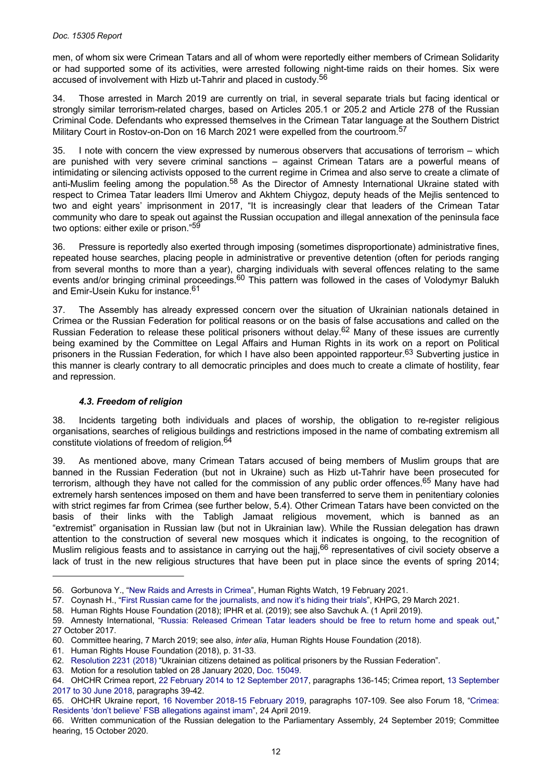<span id="page-11-0"></span>men, of whom six were Crimean Tatars and all of whom were reportedly either members of Crimean Solidarity or had supported some of its activities, were arrested following night-time raids on their homes. Six were accused of involvement with Hizb ut-Tahrir and placed in custody.<sup>56</sup>

34. Those arrested in March 2019 are currently on trial, in several separate trials but facing identical or strongly similar terrorism-related charges, based on Articles 205.1 or 205.2 and Article 278 of the Russian Criminal Code. Defendants who expressed themselves in the Crimean Tatar language at the Southern District Military Court in Rostov-on-Don on 16 March 2021 were expelled from the courtroom.<sup>57</sup>

35. I note with concern the view expressed by numerous observers that accusations of terrorism – which are punished with very severe criminal sanctions – against Crimean Tatars are a powerful means of intimidating or silencing activists opposed to the current regime in Crimea and also serve to create a climate of anti-Muslim feeling among the population.<sup>58</sup> As the Director of Amnesty International Ukraine stated with respect to Crimea Tatar leaders Ilmi Umerov and Akhtem Chiygoz, deputy heads of the Mejlis sentenced to two and eight years' imprisonment in 2017, "It is increasingly clear that leaders of the Crimean Tatar community who dare to speak out against the Russian occupation and illegal annexation of the peninsula face two options: either exile or prison."<sup>59</sup>

36. Pressure is reportedly also exerted through imposing (sometimes disproportionate) administrative fines, repeated house searches, placing people in administrative or preventive detention (often for periods ranging from several months to more than a year), charging individuals with several offences relating to the same events and/or bringing criminal proceedings.<sup>60</sup> This pattern was followed in the cases of Volodymyr Balukh and Emir-Usein Kuku for instance.<sup>61</sup>

37. The Assembly has already expressed concern over the situation of Ukrainian nationals detained in Crimea or the Russian Federation for political reasons or on the basis of false accusations and called on the Russian Federation to release these political prisoners without delay.<sup>62</sup> Many of these issues are currently being examined by the Committee on Legal Affairs and Human Rights in its work on a report on Political prisoners in the Russian Federation, for which I have also been appointed rapporteur.<sup>63</sup> Subverting justice in this manner is clearly contrary to all democratic principles and does much to create a climate of hostility, fear and repression.

# *4.3. Freedom of religion*

38. Incidents targeting both individuals and places of worship, the obligation to re-register religious organisations, searches of religious buildings and restrictions imposed in the name of combating extremism all constitute violations of freedom of religion.<sup>64</sup>

39. As mentioned above, many Crimean Tatars accused of being members of Muslim groups that are banned in the Russian Federation (but not in Ukraine) such as Hizb ut-Tahrir have been prosecuted for terrorism, although they have not called for the commission of any public order offences.<sup>65</sup> Many have had extremely harsh sentences imposed on them and have been transferred to serve them in penitentiary colonies with strict regimes far from Crimea (see further below, 5.4). Other Crimean Tatars have been convicted on the basis of their links with the Tabligh Jamaat religious movement, which is banned as an "extremist" organisation in Russian law (but not in Ukrainian law). While the Russian delegation has drawn attention to the construction of several new mosques which it indicates is ongoing, to the recognition of Muslim religious feasts and to assistance in carrying out the hajj,<sup>66</sup> representatives of civil society observe a lack of trust in the new religious structures that have been put in place since the events of spring 2014;

<sup>56.</sup> Gorbunova Y., ["New Raids and Arrests in Crimea"](https://www.hrw.org/news/2021/02/19/new-raids-and-arrests-crimea), Human Rights Watch, 19 February 2021.

<sup>57.</sup> Coynash H., "[First Russian came for the journalists, and now it's hiding their trials"](http://khpg.org/en/1608808931), KHPG, 29 March 2021.

<sup>58.</sup> Human Rights House Foundation (2018); IPHR et al. (2019); see also Savchuk A. (1 April 2019).

<sup>59.</sup> Amnesty International, "Russia: [Released](https://www.amnesty.org/en/latest/news/2017/10/russia-released-crimean-tatar-leaders-should-be-free-to-return-home-and-speak-out/) Crimean Tatar leaders should be free to return home and speak out," 27 October 2017.

<sup>60.</sup> Committee hearing, 7 March 2019; see also, *inter alia*, Human Rights House Foundation (2018).

<sup>61.</sup> Human Rights House Foundation (2018), p. 31-33.

<sup>62.</sup> [Resolution 2231 \(2018\)](https://pace.coe.int/en/files/24994) "Ukrainian citizens detained as political prisoners by the Russian Federation".

<sup>63.</sup> Motion for a resolution tabled on 28 January 2020, [Doc. 15049.](https://pace.coe.int/en/files/28465)

<sup>64.</sup> OHCHR Crimea report, [22 February 2014 to 12 September 2017,](https://www.ohchr.org/Documents/Countries/UA/Crimea2014_2017_EN.pdf) paragraphs 136-145; Crimea report, [13 September](https://www.ohchr.org/Documents/Countries/UA/CrimeaThematicReport10Sept2018_EN.pdf)  [2017 to 30 June 2018,](https://www.ohchr.org/Documents/Countries/UA/CrimeaThematicReport10Sept2018_EN.pdf) paragraphs 39-42.

<sup>65.</sup> OHCHR Ukraine report, 16 [November](https://www.ohchr.org/Documents/Countries/UA/ReportUkraine16Nov2018-15Feb2019.pdf) 2018-15 February 2019, paragraphs 107-109. See also Forum 18, ["Crimea:](http://www.forum18.org/archive.php?article_id=2470)  [Residents 'don't believe' FSB allegations against imam"](http://www.forum18.org/archive.php?article_id=2470), 24 April 2019.

<sup>66.</sup> Written communication of the Russian delegation to the Parliamentary Assembly, 24 September 2019; Committee hearing, 15 October 2020.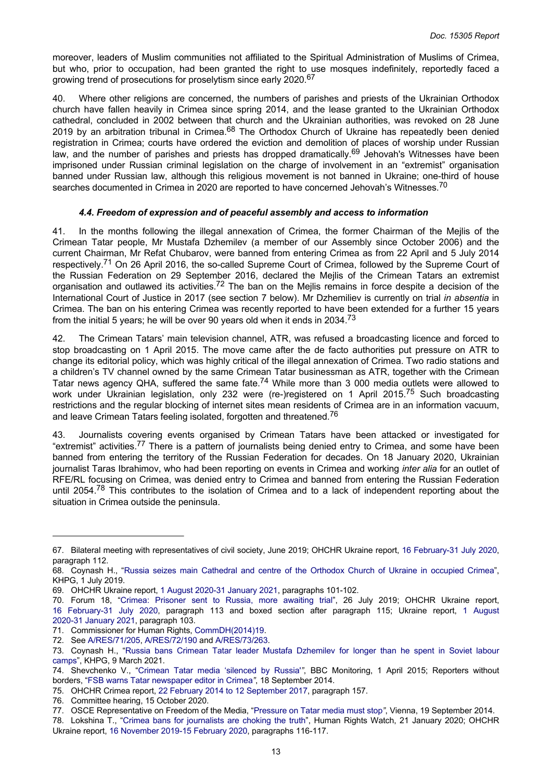<span id="page-12-0"></span>moreover, leaders of Muslim communities not affiliated to the Spiritual Administration of Muslims of Crimea, but who, prior to occupation, had been granted the right to use mosques indefinitely, reportedly faced a growing trend of prosecutions for proselytism since early 2020.<sup>67</sup>

40. Where other religions are concerned, the numbers of parishes and priests of the Ukrainian Orthodox church have fallen heavily in Crimea since spring 2014, and the lease granted to the Ukrainian Orthodox cathedral, concluded in 2002 between that church and the Ukrainian authorities, was revoked on 28 June 2019 by an arbitration tribunal in Crimea.<sup>68</sup> The Orthodox Church of Ukraine has repeatedly been denied registration in Crimea; courts have ordered the eviction and demolition of places of worship under Russian law, and the number of parishes and priests has dropped dramatically.<sup>69</sup> Jehovah's Witnesses have been imprisoned under Russian criminal legislation on the charge of involvement in an "extremist" organisation banned under Russian law, although this religious movement is not banned in Ukraine; one-third of house searches documented in Crimea in 2020 are reported to have concerned Jehovah's Witnesses.<sup>70</sup>

#### *4.4. Freedom of expression and of peaceful assembly and access to information*

41. In the months following the illegal annexation of Crimea, the former Chairman of the Mejlis of the Crimean Tatar people, Mr Mustafa Dzhemilev (a member of our Assembly since October 2006) and the current Chairman, Mr Refat Chubarov, were banned from entering Crimea as from 22 April and 5 July 2014 respectively.<sup>71</sup> On 26 April 2016, the so-called Supreme Court of Crimea, followed by the Supreme Court of the Russian Federation on 29 September 2016, declared the Mejlis of the Crimean Tatars an extremist organisation and outlawed its activities.<sup>72</sup> The ban on the Mejlis remains in force despite a decision of the International Court of Justice in 2017 (see section 7 below). Mr Dzhemiliev is currently on trial *in absentia* in Crimea. The ban on his entering Crimea was recently reported to have been extended for a further 15 years from the initial 5 years; he will be over 90 years old when it ends in 2034.<sup>73</sup>

42. The Crimean Tatars' main television channel, ATR, was refused a broadcasting licence and forced to stop broadcasting on 1 April 2015. The move came after the de facto authorities put pressure on ATR to change its editorial policy, which was highly critical of the illegal annexation of Crimea. Two radio stations and a children's TV channel owned by the same Crimean Tatar businessman as ATR, together with the Crimean Tatar news agency QHA, suffered the same fate.<sup>74</sup> While more than 3 000 media outlets were allowed to work under Ukrainian legislation, only 232 were (re-)registered on 1 April 2015.<sup>75</sup> Such broadcasting restrictions and the regular blocking of internet sites mean residents of Crimea are in an information vacuum, and leave Crimean Tatars feeling isolated, forgotten and threatened.<sup>76</sup>

43. Journalists covering events organised by Crimean Tatars have been attacked or investigated for "extremist" activities.<sup>77</sup> There is a pattern of journalists being denied entry to Crimea, and some have been banned from entering the territory of the Russian Federation for decades. On 18 January 2020, Ukrainian journalist Taras Ibrahimov, who had been reporting on events in Crimea and working *inter alia* for an outlet of RFE/RL focusing on Crimea, was denied entry to Crimea and banned from entering the Russian Federation until 2054.<sup>78</sup> This contributes to the isolation of Crimea and to a lack of independent reporting about the situation in Crimea outside the peninsula.

<sup>67.</sup> Bilateral meeting with representatives of civil society, June 2019; OHCHR Ukraine report, 16 [February-31](https://www.ohchr.org/Documents/Countries/UA/30thReportUkraine_EN.pdf) July 2020, paragraph 112.

<sup>68.</sup> Coynash H., "Russia seizes main [Cathedral](http://khpg.org/en/index.php?id=1561759599) and centre of the Orthodox Church of Ukraine in occupied Crimea", KHPG, 1 July 2019.

<sup>69.</sup> OHCHR Ukraine report, [1 August 2020-31 January 2021,](https://www.ohchr.org/Documents/Countries/UA/31stReportUkraine-en.pdf) paragraphs 101-102.

<sup>70.</sup> Forum 18, "Crimea: [Prisoner](http://www.forum18.org/archive.php?article_id=2496) sent to Russia, more awaiting trial", 26 July 2019; OHCHR Ukraine report, 16 [February-31](https://www.ohchr.org/Documents/Countries/UA/30thReportUkraine_EN.pdf) July 2020, paragraph 113 and boxed section after paragraph 115; Ukraine report, 1 [August](https://www.ohchr.org/Documents/Countries/UA/31stReportUkraine-en.pdf)  [2020-31 January 2021,](https://www.ohchr.org/Documents/Countries/UA/31stReportUkraine-en.pdf) paragraph 103.

<sup>71.</sup> Commissioner for Human Rights, [CommDH\(2014\)19.](https://rm.coe.int/ref/CommDH(2014)19)

<sup>72.</sup> See [A/RES/71/205](https://undocs.org/en/A/RES/71/205), [A/RES/72/190](https://undocs.org/en/A/RES/72/190) and [A/RES/73/263.](https://undocs.org/en/A/RES/73/263)

<sup>73.</sup> Coynash H., "Russia bans Crimean Tatar leader Mustafa [Dzhemilev](http://khpg.org/en/1608808877) for longer than he spent in Soviet labour [camps"](http://khpg.org/en/1608808877), KHPG, 9 March 2021.

<sup>74.</sup> Shevchenko V., "Crimean Tatar media ['silenced](https://www.bbc.com/news/world-europe-32145218) by Russia'*"*, BBC Monitoring, 1 April 2015; Reporters without borders, "[FSB warns Tatar newspaper editor in Crimea](https://rsf.org/en/news/summary-attacks-media)*"*, 18 September 2014.

<sup>75.</sup> OHCHR Crimea report, [22 February 2014 to 12 September 2017,](https://www.ohchr.org/Documents/Countries/UA/Crimea2014_2017_EN.pdf) paragraph 157.

<sup>76.</sup> Committee hearing, 15 October 2020.

<sup>77.</sup> OSCE Representative on Freedom of the Media, "[Pressure on Tatar media must stop](https://www.osce.org/fom/123790)*"*, Vienna, 19 September 2014.

<sup>78.</sup> Lokshina T., "Crimea bans for [journalists](https://www.hrw.org/news/2020/01/21/crimea-bans-journalists-are-choking-truth) are choking the truth", Human Rights Watch, 21 January 2020; OHCHR Ukraine report, [16 November 2019-15 February 2020,](https://www.ohchr.org/Documents/Countries/UA/29thReportUkraine_EN.pdf) paragraphs 116-117.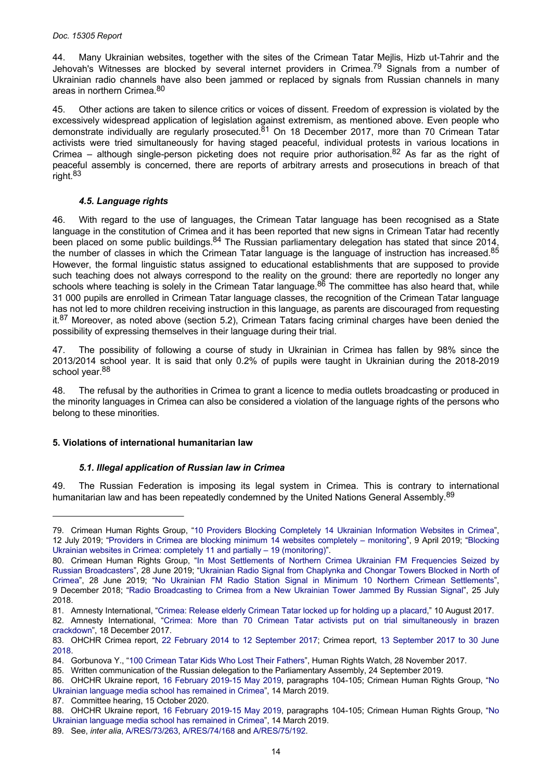#### <span id="page-13-0"></span>*Doc. 15305 Report*

44. Many Ukrainian websites, together with the sites of the Crimean Tatar Mejlis, Hizb ut-Tahrir and the Jehovah's Witnesses are blocked by several internet providers in Crimea.<sup>79</sup> Signals from a number of Ukrainian radio channels have also been jammed or replaced by signals from Russian channels in many areas in northern Crimea.<sup>80</sup>

45. Other actions are taken to silence critics or voices of dissent. Freedom of expression is violated by the excessively widespread application of legislation against extremism, as mentioned above. Even people who demonstrate individually are regularly prosecuted.<sup>81</sup> On 18 December 2017, more than 70 Crimean Tatar activists were tried simultaneously for having staged peaceful, individual protests in various locations in Crimea – although single-person picketing does not require prior authorisation.<sup>82</sup> As far as the right of peaceful assembly is concerned, there are reports of arbitrary arrests and prosecutions in breach of that right.<sup>83</sup>

## *4.5. Language rights*

46. With regard to the use of languages, the Crimean Tatar language has been recognised as a State language in the constitution of Crimea and it has been reported that new signs in Crimean Tatar had recently been placed on some public buildings.<sup>84</sup> The Russian parliamentary delegation has stated that since 2014, the number of classes in which the Crimean Tatar language is the language of instruction has increased.<sup>85</sup> However, the formal linguistic status assigned to educational establishments that are supposed to provide such teaching does not always correspond to the reality on the ground: there are reportedly no longer any schools where teaching is solely in the Crimean Tatar language.<sup>86</sup> The committee has also heard that, while 31 000 pupils are enrolled in Crimean Tatar language classes, the recognition of the Crimean Tatar language has not led to more children receiving instruction in this language, as parents are discouraged from requesting it.<sup>87</sup> Moreover, as noted above (section 5.2), Crimean Tatars facing criminal charges have been denied the possibility of expressing themselves in their language during their trial.

47. The possibility of following a course of study in Ukrainian in Crimea has fallen by 98% since the 2013/2014 school year. It is said that only 0.2% of pupils were taught in Ukrainian during the 2018-2019 school year.<sup>88</sup>

48. The refusal by the authorities in Crimea to grant a licence to media outlets broadcasting or produced in the minority languages in Crimea can also be considered a violation of the language rights of the persons who belong to these minorities.

## **5. Violations of international humanitarian law**

# *5.1. Illegal application of Russian law in Crimea*

49. The Russian Federation is imposing its legal system in Crimea. This is contrary to international humanitarian law and has been repeatedly condemned by the United Nations General Assembly.<sup>89</sup>

<sup>79.</sup> Crimean Human Rights Group, "10 Providers Blocking [Completely](https://crimeahrg.org/en/10-providers-blocking-completely-14-ukrainian-information-websites-in-crimea/) 14 Ukrainian Information Websites in Crimea", 12 July 2019; "Providers in Crimea are blocking minimum 14 websites [completely](https://crimeahrg.org/en/providers-in-crimea-are-blocking-minimum-14-websites-completely-monitoring/) – monitoring", 9 April 2019; "[Blocking](https://crimeahrg.org/en/blocking-ukrainian-websites-in-crimea-completely-11-and-partially-19-monitoring/)  [Ukrainian websites in Crimea: completely 11 and partially – 19 \(monitoring\)"](https://crimeahrg.org/en/blocking-ukrainian-websites-in-crimea-completely-11-and-partially-19-monitoring/).

<sup>80.</sup> Crimean Human Rights Group, "In Most Settlements of Northern Crimea Ukrainian FM [Frequencies](https://crimeahrg.org/en/in-most-settlements-of-northern-crimea-ukrainian-fm-frequencies-seized-by-russian-broadcasters/) Seized by Russian [Broadcasters](https://crimeahrg.org/en/in-most-settlements-of-northern-crimea-ukrainian-fm-frequencies-seized-by-russian-broadcasters/)", 28 June 2019; "Ukrainian Radio Signal from [Chaplynka](https://crimeahrg.org/en/ukrainian-radio-signal-from-chaplynka-and-chongar-towers-blocked-in-north-of-crimea/) and Chongar Towers Blocked in North of [Crimea](https://crimeahrg.org/en/ukrainian-radio-signal-from-chaplynka-and-chongar-towers-blocked-in-north-of-crimea/)", 28 June 2019; "No Ukrainian FM Radio Station Signal in Minimum 10 Northern Crimean [Settlements](https://crimeahrg.org/en/no-ukrainian-fm-radio-station-signal-in-minimum-10-northern-crimean-settlements/)", 9 December 2018; "Radio [Broadcasting](https://crimeahrg.org/en/radio-broadcasting-to-crimea-from-a-new-ukrainian-tower-jammed-by-russian-signal/) to Crimea from a New Ukrainian Tower Jammed By Russian Signal", 25 July 2018.

<sup>81.</sup> Amnesty International, ["Crimea: Release elderly Crimean Tatar locked up for holding up a placard](https://www.amnesty.org/en/latest/news/2017/08/crimea-release-elderly-crimean-tatar-locked-up-for-holding-up-a-placard/)," 10 August 2017.

<sup>82.</sup> Amnesty International, "Crimea: More than 70 Crimean Tatar activists put on trial [simultaneously](https://www.amnesty.org/en/latest/news/2017/12/crimea-more-than-70-crimean-tatar-activists-put-on-trial-simultaneously-in-brazen-crackdown/) in brazen [crackdown](https://www.amnesty.org/en/latest/news/2017/12/crimea-more-than-70-crimean-tatar-activists-put-on-trial-simultaneously-in-brazen-crackdown/)", 18 December 2017.

<sup>83.</sup> OHCHR Crimea report, 22 February 2014 to 12 [September](https://www.ohchr.org/Documents/Countries/UA/Crimea2014_2017_EN.pdf) 2017; Crimea report, 13 [September](https://www.ohchr.org/Documents/Countries/UA/CrimeaThematicReport10Sept2018_EN.pdf) 2017 to 30 June [2018.](https://www.ohchr.org/Documents/Countries/UA/CrimeaThematicReport10Sept2018_EN.pdf)

<sup>84.</sup> Gorbunova Y., ["100 Crimean Tatar Kids Who Lost Their Fathers"](https://www.hrw.org/news/2017/11/28/100-crimean-tatar-kids-who-lost-their-fathers), Human Rights Watch, 28 November 2017.

<sup>85.</sup> Written communication of the Russian delegation to the Parliamentary Assembly, 24 September 2019.

<sup>86.</sup> OHCHR Ukraine report, 16 [February](https://www.ohchr.org/Documents/Countries/UA/ReportUkraine16Feb-15May2019_EN.pdf) 2019-15 May 2019, paragraphs 104-105; Crimean Human Rights Group, ["No](https://crimeahrg.org/en/no-ukrainian-language-media-school-has-remained-in-crimea/)  [Ukrainian language media school has remained in Crimea](https://crimeahrg.org/en/no-ukrainian-language-media-school-has-remained-in-crimea/)", 14 March 2019.

<sup>87.</sup> Committee hearing, 15 October 2020.

<sup>88.</sup> OHCHR Ukraine report, 16 [February](https://www.ohchr.org/Documents/Countries/UA/ReportUkraine16Feb-15May2019_EN.pdf) 2019-15 May 2019, paragraphs 104-105; Crimean Human Rights Group, ["No](https://crimeahrg.org/en/no-ukrainian-language-media-school-has-remained-in-crimea/)  [Ukrainian language media school has remained in Crimea](https://crimeahrg.org/en/no-ukrainian-language-media-school-has-remained-in-crimea/)", 14 March 2019.

<sup>89.</sup> See, *inter alia*[, A/RES/73/263](https://undocs.org/en/A/RES/73/263), [A/RES/74/168](https://undocs.org/en/a/res/74/168) and [A/RES/75/192.](https://undocs.org/en/a/res/75/192)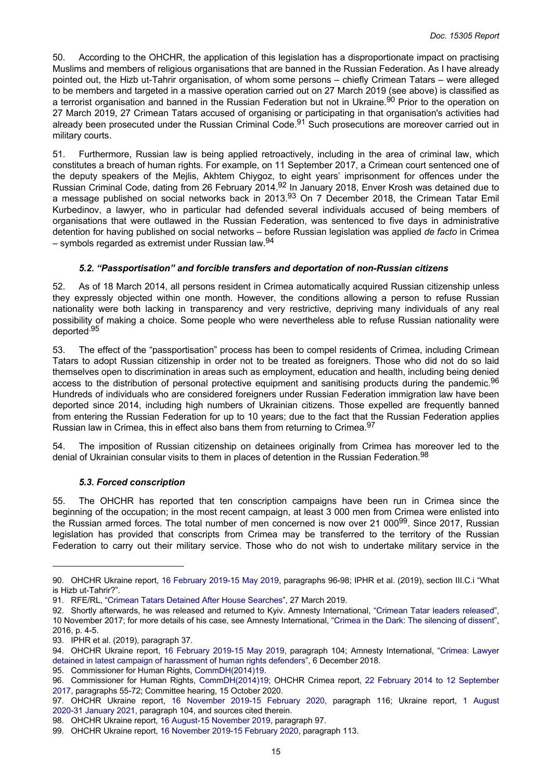<span id="page-14-0"></span>50. According to the OHCHR, the application of this legislation has a disproportionate impact on practising Muslims and members of religious organisations that are banned in the Russian Federation. As I have already pointed out, the Hizb ut-Tahrir organisation, of whom some persons – chiefly Crimean Tatars – were alleged to be members and targeted in a massive operation carried out on 27 March 2019 (see above) is classified as a terrorist organisation and banned in the Russian Federation but not in Ukraine.<sup>90</sup> Prior to the operation on 27 March 2019, 27 Crimean Tatars accused of organising or participating in that organisation's activities had already been prosecuted under the Russian Criminal Code.<sup>91</sup> Such prosecutions are moreover carried out in military courts.

51. Furthermore, Russian law is being applied retroactively, including in the area of criminal law, which constitutes a breach of human rights. For example, on 11 September 2017, a Crimean court sentenced one of the deputy speakers of the Mejlis, Akhtem Chiygoz, to eight years' imprisonment for offences under the Russian Criminal Code, dating from 26 February 2014.<sup>92</sup> In January 2018, Enver Krosh was detained due to a message published on social networks back in 2013.<sup>93</sup> On 7 December 2018, the Crimean Tatar Emil Kurbedinov, a lawyer, who in particular had defended several individuals accused of being members of organisations that were outlawed in the Russian Federation, was sentenced to five days in administrative detention for having published on social networks – before Russian legislation was applied *de facto* in Crimea  $-$  symbols regarded as extremist under Russian law.  $94$ 

# *5.2. "Passportisation" and forcible transfers and deportation of non-Russian citizens*

52. As of 18 March 2014, all persons resident in Crimea automatically acquired Russian citizenship unless they expressly objected within one month. However, the conditions allowing a person to refuse Russian nationality were both lacking in transparency and very restrictive, depriving many individuals of any real possibility of making a choice. Some people who were nevertheless able to refuse Russian nationality were deported.95

53. The effect of the "passportisation" process has been to compel residents of Crimea, including Crimean Tatars to adopt Russian citizenship in order not to be treated as foreigners. Those who did not do so laid themselves open to discrimination in areas such as employment, education and health, including being denied access to the distribution of personal protective equipment and sanitising products during the pandemic.<sup>96</sup> Hundreds of individuals who are considered foreigners under Russian Federation immigration law have been deported since 2014, including high numbers of Ukrainian citizens. Those expelled are frequently banned from entering the Russian Federation for up to 10 years; due to the fact that the Russian Federation applies Russian law in Crimea, this in effect also bans them from returning to Crimea.<sup>97</sup>

54. The imposition of Russian citizenship on detainees originally from Crimea has moreover led to the denial of Ukrainian consular visits to them in places of detention in the Russian Federation.<sup>98</sup>

## *5.3. Forced conscription*

55. The OHCHR has reported that ten conscription campaigns have been run in Crimea since the beginning of the occupation; in the most recent campaign, at least 3 000 men from Crimea were enlisted into the Russian armed forces. The total number of men concerned is now over 21 000<sup>99</sup>. Since 2017, Russian legislation has provided that conscripts from Crimea may be transferred to the territory of the Russian Federation to carry out their military service. Those who do not wish to undertake military service in the

<sup>90.</sup> OHCHR Ukraine report, 16 [February](https://www.ohchr.org/Documents/Countries/UA/ReportUkraine16Feb-15May2019_EN.pdf) 2019-15 May 2019, paragraphs 96-98; IPHR et al. (2019), section III.C.i "What is Hizb ut-Tahrir?".

<sup>91.</sup> RFE/RL, ["Crimean Tatars Detained After House Searches"](https://www.rferl.org/a/crimean-tatars-said-detained-after-house-searches/29844868.html), 27 March 2019.

<sup>92.</sup> Shortly afterwards, he was released and returned to Kyiv. Amnesty International, "Crimean Tatar leaders [released"](https://www.amnesty.org/download/Documents/EUR5074302017ENGLISH.pdf), 10 November 2017; for more details of his case, see Amnesty International, ["Crimea in the Dark: The silencing of dissent"](https://www.amnesty.org/download/Documents/EUR5053302016ENGLISH.PDF), 2016, p. 4-5.

<sup>93.</sup> IPHR et al. (2019), paragraph 37.

<sup>94.</sup> OHCHR Ukraine report, 16 [February](https://www.ohchr.org/Documents/Countries/UA/ReportUkraine16Feb-15May2019_EN.pdf) 2019-15 May 2019, paragraph 104; Amnesty International, "[Crimea:](https://www.amnesty.org/en/latest/news/2018/12/crimea-lawyer-detained-in-latest-campaign-of-harassment-of-human-rights-defenders/) Lawyer [detained in latest campaign of harassment of human rights defenders"](https://www.amnesty.org/en/latest/news/2018/12/crimea-lawyer-detained-in-latest-campaign-of-harassment-of-human-rights-defenders/), 6 December 2018.

<sup>95.</sup> Commissioner for Human Rights, [CommDH\(2014\)19.](https://rm.coe.int/ref/CommDH(2014)19)

<sup>96.</sup> Commissioner for Human Rights, [CommDH\(2014\)19;](https://rm.coe.int/ref/CommDH(2014)19) OHCHR Crimea report, 22 February 2014 to 12 [September](https://www.ohchr.org/Documents/Countries/UA/Crimea2014_2017_EN.pdf)  [2017,](https://www.ohchr.org/Documents/Countries/UA/Crimea2014_2017_EN.pdf) paragraphs 55-72; Committee hearing, 15 October 2020.

<sup>97.</sup> OHCHR Ukraine report, 16 [November](https://www.ohchr.org/Documents/Countries/UA/29thReportUkraine_EN.pdf) 2019-15 February 2020, paragraph 116; Ukraine report, 1 [August](https://www.ohchr.org/Documents/Countries/UA/31stReportUkraine-en.pdf)  [2020-31 January 2021,](https://www.ohchr.org/Documents/Countries/UA/31stReportUkraine-en.pdf) paragraph 104, and sources cited therein.

<sup>98.</sup> OHCHR Ukraine report, [16 August-15 November 2019,](https://www.ohchr.org/Documents/Countries/UA/28thReportUkraine_EN.pdf) paragraph 97.

<sup>99.</sup> OHCHR Ukraine report, [16 November 2019-15 February 2020,](https://www.ohchr.org/Documents/Countries/UA/29thReportUkraine_EN.pdf) paragraph 113.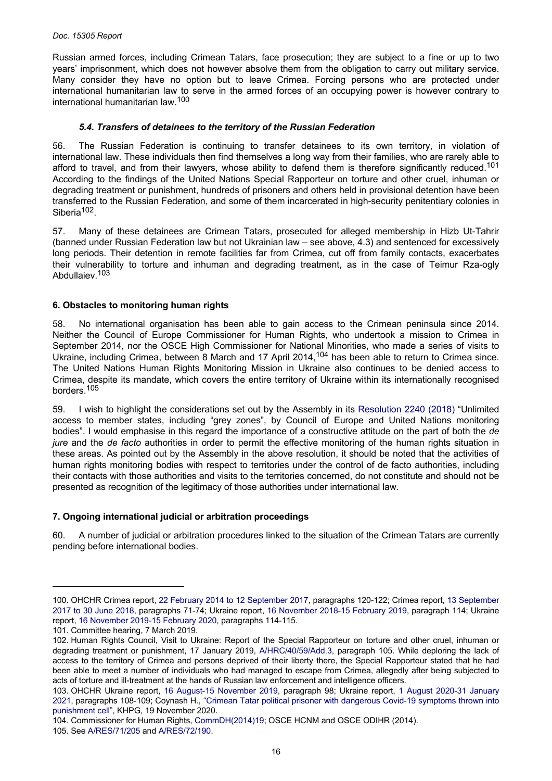<span id="page-15-0"></span>Russian armed forces, including Crimean Tatars, face prosecution; they are subject to a fine or up to two years' imprisonment, which does not however absolve them from the obligation to carry out military service. Many consider they have no option but to leave Crimea. Forcing persons who are protected under international humanitarian law to serve in the armed forces of an occupying power is however contrary to international humanitarian law.<sup>100</sup>

# *5.4. Transfers of detainees to the territory of the Russian Federation*

56. The Russian Federation is continuing to transfer detainees to its own territory, in violation of international law. These individuals then find themselves a long way from their families, who are rarely able to afford to travel, and from their lawyers, whose ability to defend them is therefore significantly reduced.<sup>101</sup> According to the findings of the United Nations Special Rapporteur on torture and other cruel, inhuman or degrading treatment or punishment, hundreds of prisoners and others held in provisional detention have been transferred to the Russian Federation, and some of them incarcerated in high-security penitentiary colonies in Siberia<sup>102</sup>.

57. Many of these detainees are Crimean Tatars, prosecuted for alleged membership in Hizb Ut-Tahrir (banned under Russian Federation law but not Ukrainian law – see above, 4.3) and sentenced for excessively long periods. Their detention in remote facilities far from Crimea, cut off from family contacts, exacerbates their vulnerability to torture and inhuman and degrading treatment, as in the case of Teimur Rza-ogly Abdullaiev.<sup>103</sup>

## **6. Obstacles to monitoring human rights**

58. No international organisation has been able to gain access to the Crimean peninsula since 2014. Neither the Council of Europe Commissioner for Human Rights, who undertook a mission to Crimea in September 2014, nor the OSCE High Commissioner for National Minorities, who made a series of visits to Ukraine, including Crimea, between 8 March and 17 April 2014,<sup>104</sup> has been able to return to Crimea since. The United Nations Human Rights Monitoring Mission in Ukraine also continues to be denied access to Crimea, despite its mandate, which covers the entire territory of Ukraine within its internationally recognised borders.<sup>105</sup>

59. I wish to highlight the considerations set out by the Assembly in its [Resolution](https://pace.coe.int/en/files/25168) 2240 (2018) "Unlimited access to member states, including "grey zones", by Council of Europe and United Nations monitoring bodies". I would emphasise in this regard the importance of a constructive attitude on the part of both the *de jure* and the *de facto* authorities in order to permit the effective monitoring of the human rights situation in these areas. As pointed out by the Assembly in the above resolution, it should be noted that the activities of human rights monitoring bodies with respect to territories under the control of de facto authorities, including their contacts with those authorities and visits to the territories concerned, do not constitute and should not be presented as recognition of the legitimacy of those authorities under international law.

## **7. Ongoing international judicial or arbitration proceedings**

60. A number of judicial or arbitration procedures linked to the situation of the Crimean Tatars are currently pending before international bodies.

<sup>100.</sup> OHCHR Crimea report, [22 February 2014 to 12 September 2017,](https://www.ohchr.org/Documents/Countries/UA/Crimea2014_2017_EN.pdf) paragraphs 120-122; Crimea report, [13 September](https://www.ohchr.org/Documents/Countries/UA/CrimeaThematicReport10Sept2018_EN.pdf)  2017 to 30 June [2018,](https://www.ohchr.org/Documents/Countries/UA/CrimeaThematicReport10Sept2018_EN.pdf) paragraphs 71-74; Ukraine report, 16 [November](https://www.ohchr.org/Documents/Countries/UA/ReportUkraine16Nov2018-15Feb2019.pdf) 2018-15 February 2019, paragraph 114; Ukraine report, [16 November 2019-15 February 2020,](https://www.ohchr.org/Documents/Countries/UA/29thReportUkraine_EN.pdf) paragraphs 114-115.

<sup>101.</sup> Committee hearing, 7 March 2019.

<sup>102.</sup> Human Rights Council, Visit to Ukraine: Report of the Special Rapporteur on torture and other cruel, inhuman or degrading treatment or punishment, 17 January 2019, [A/HRC/40/59/Add.3](https://undocs.org/en/A/HRC/40/59/Add.3), paragraph 105. While deploring the lack of access to the territory of Crimea and persons deprived of their liberty there, the Special Rapporteur stated that he had been able to meet a number of individuals who had managed to escape from Crimea, allegedly after being subjected to acts of torture and ill-treatment at the hands of Russian law enforcement and intelligence officers.

<sup>103.</sup> OHCHR Ukraine report, 16 August-15 [November](https://www.ohchr.org/Documents/Countries/UA/28thReportUkraine_EN.pdf) 2019, paragraph 98; Ukraine report, 1 August [2020-31](https://www.ohchr.org/Documents/Countries/UA/31stReportUkraine-en.pdf) January [2021,](https://www.ohchr.org/Documents/Countries/UA/31stReportUkraine-en.pdf) paragraphs 108-109; Coynash H., "Crimean Tatar political prisoner with [dangerous](http://khpg.org/en/1605737846) Covid-19 symptoms thrown into [punishment cell"](http://khpg.org/en/1605737846), KHPG, 19 November 2020.

<sup>104.</sup> Commissioner for Human Rights, [CommDH\(2014\)19;](https://rm.coe.int/ref/CommDH(2014)19) OSCE HCNM and OSCE ODIHR (2014).

<sup>105.</sup> See [A/RES/71/205](https://undocs.org/en/A/RES/71/205) and [A/RES/72/190.](https://undocs.org/en/A/RES/72/190)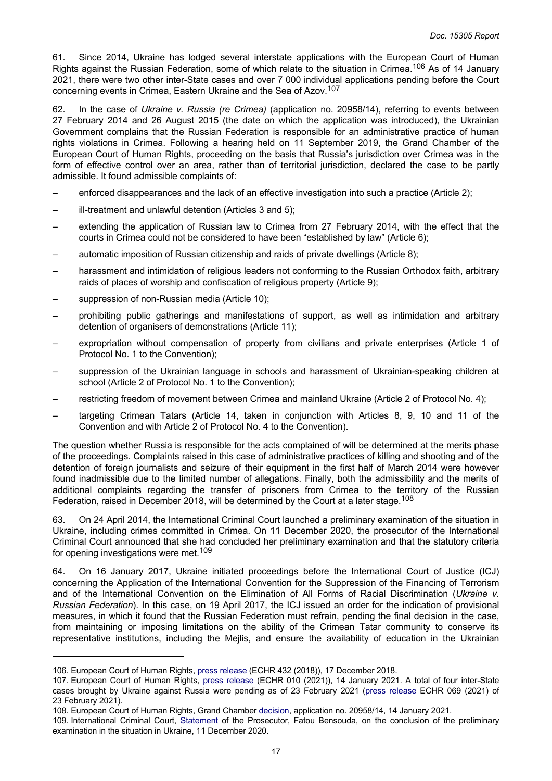61. Since 2014, Ukraine has lodged several interstate applications with the European Court of Human Rights against the Russian Federation, some of which relate to the situation in Crimea.<sup>106</sup> As of 14 January 2021, there were two other inter-State cases and over 7 000 individual applications pending before the Court concerning events in Crimea, Eastern Ukraine and the Sea of Azov.<sup>107</sup>

62. In the case of *Ukraine v. Russia (re Crimea)* (application no. 20958/14), referring to events between 27 February 2014 and 26 August 2015 (the date on which the application was introduced), the Ukrainian Government complains that the Russian Federation is responsible for an administrative practice of human rights violations in Crimea. Following a hearing held on 11 September 2019, the Grand Chamber of the European Court of Human Rights, proceeding on the basis that Russia's jurisdiction over Crimea was in the form of effective control over an area, rather than of territorial jurisdiction, declared the case to be partly admissible. It found admissible complaints of:

- enforced disappearances and the lack of an effective investigation into such a practice (Article 2);
- ill-treatment and unlawful detention (Articles 3 and 5);
- extending the application of Russian law to Crimea from 27 February 2014, with the effect that the courts in Crimea could not be considered to have been "established by law" (Article 6);
- automatic imposition of Russian citizenship and raids of private dwellings (Article 8);
- harassment and intimidation of religious leaders not conforming to the Russian Orthodox faith, arbitrary raids of places of worship and confiscation of religious property (Article 9);
- suppression of non-Russian media (Article 10);
- prohibiting public gatherings and manifestations of support, as well as intimidation and arbitrary detention of organisers of demonstrations (Article 11);
- expropriation without compensation of property from civilians and private enterprises (Article 1 of Protocol No. 1 to the Convention);
- suppression of the Ukrainian language in schools and harassment of Ukrainian-speaking children at school (Article 2 of Protocol No. 1 to the Convention);
- restricting freedom of movement between Crimea and mainland Ukraine (Article 2 of Protocol No. 4);
- targeting Crimean Tatars (Article 14, taken in conjunction with Articles 8, 9, 10 and 11 of the Convention and with Article 2 of Protocol No. 4 to the Convention).

The question whether Russia is responsible for the acts complained of will be determined at the merits phase of the proceedings. Complaints raised in this case of administrative practices of killing and shooting and of the detention of foreign journalists and seizure of their equipment in the first half of March 2014 were however found inadmissible due to the limited number of allegations. Finally, both the admissibility and the merits of additional complaints regarding the transfer of prisoners from Crimea to the territory of the Russian Federation, raised in December 2018, will be determined by the Court at a later stage.<sup>108</sup>

63. On 24 April 2014, the International Criminal Court launched a preliminary examination of the situation in Ukraine, including crimes committed in Crimea. On 11 December 2020, the prosecutor of the International Criminal Court announced that she had concluded her preliminary examination and that the statutory criteria for opening investigations were met.<sup>109</sup>

64. On 16 January 2017, Ukraine initiated proceedings before the International Court of Justice (ICJ) concerning the Application of the International Convention for the Suppression of the Financing of Terrorism and of the International Convention on the Elimination of All Forms of Racial Discrimination (*Ukraine v. Russian Federation*). In this case, on 19 April 2017, the ICJ issued an order for the indication of provisional measures, in which it found that the Russian Federation must refrain, pending the final decision in the case, from maintaining or imposing limitations on the ability of the Crimean Tatar community to conserve its representative institutions, including the Mejlis, and ensure the availability of education in the Ukrainian

- 108. European Court of Human Rights, Grand Chamber [decision,](http://hudoc.echr.coe.int/eng?i=001-207622) application no. 20958/14, 14 January 2021.
- 109. International Criminal Court, [Statement](https://www.icc-cpi.int/Pages/item.aspx?name=201211-otp-statement-ukraine) of the Prosecutor, Fatou Bensouda, on the conclusion of the preliminary examination in the situation in Ukraine, 11 December 2020.

<sup>106.</sup> European Court of Human Rights, [press release](https://hudoc.echr.coe.int/app/conversion/pdf/?library=ECHR&id=003-6282063-8189102&filename=ECHR%20to%20adjourn%20some%20individual%20applications%20related%20to%20Eastern%20Ukraine.pdf) (ECHR 432 (2018)), 17 December 2018.

<sup>107.</sup> European Court of Human Rights, press [release](https://hudoc.echr.coe.int/app/conversion/pdf/?library=ECHR&id=003-6904972-9271650&filename=Grand%20Chamber%20decision%20Ukraine%20v.%20Russia%20%28re%20Crimea%29%20-%20complaints%20concerning%20pattern%20of%20human-rights%20violations%20partly%20admissible.pdf) (ECHR 010 (2021)), 14 January 2021. A total of four inter-State cases brought by Ukraine against Russia were pending as of 23 February 2021 (press [release](https://hudoc.echr.coe.int/app/conversion/pdf/?library=ECHR&id=003-6946898-9342602&filename=New%20inter-state%20application%20brought%20by%20Ukraine%20against%20Russia.pdf) ECHR 069 (2021) of 23 February 2021).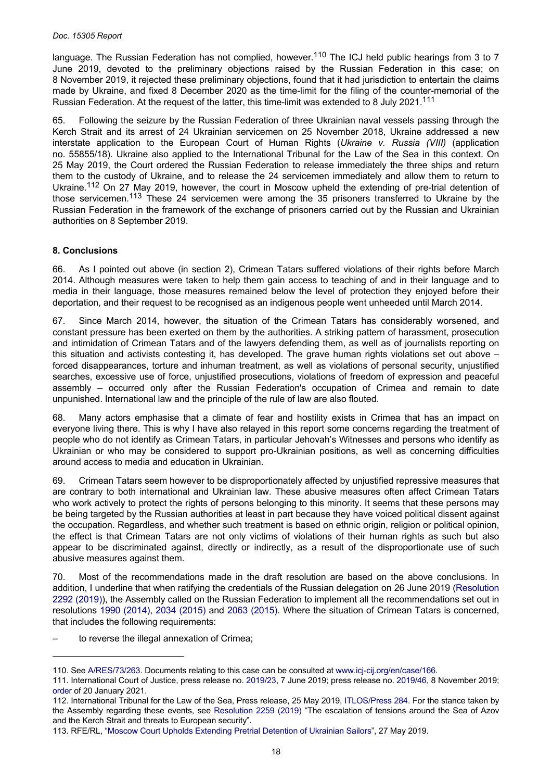<span id="page-17-0"></span>language. The Russian Federation has not complied, however.<sup>110</sup> The ICJ held public hearings from 3 to 7 June 2019, devoted to the preliminary objections raised by the Russian Federation in this case; on 8 November 2019, it rejected these preliminary objections, found that it had jurisdiction to entertain the claims made by Ukraine, and fixed 8 December 2020 as the time-limit for the filing of the counter-memorial of the Russian Federation. At the request of the latter, this time-limit was extended to 8 July 2021.<sup>111</sup>

65. Following the seizure by the Russian Federation of three Ukrainian naval vessels passing through the Kerch Strait and its arrest of 24 Ukrainian servicemen on 25 November 2018, Ukraine addressed a new interstate application to the European Court of Human Rights (*Ukraine v. Russia (VIII)* (application no. 55855/18). Ukraine also applied to the International Tribunal for the Law of the Sea in this context. On 25 May 2019, the Court ordered the Russian Federation to release immediately the three ships and return them to the custody of Ukraine, and to release the 24 servicemen immediately and allow them to return to Ukraine.<sup>112</sup> On 27 May 2019, however, the court in Moscow upheld the extending of pre-trial detention of those servicemen.<sup>113</sup> These 24 servicemen were among the 35 prisoners transferred to Ukraine by the Russian Federation in the framework of the exchange of prisoners carried out by the Russian and Ukrainian authorities on 8 September 2019.

# **8. Conclusions**

66. As I pointed out above (in section 2), Crimean Tatars suffered violations of their rights before March 2014. Although measures were taken to help them gain access to teaching of and in their language and to media in their language, those measures remained below the level of protection they enjoyed before their deportation, and their request to be recognised as an indigenous people went unheeded until March 2014.

67. Since March 2014, however, the situation of the Crimean Tatars has considerably worsened, and constant pressure has been exerted on them by the authorities. A striking pattern of harassment, prosecution and intimidation of Crimean Tatars and of the lawyers defending them, as well as of journalists reporting on this situation and activists contesting it, has developed. The grave human rights violations set out above – forced disappearances, torture and inhuman treatment, as well as violations of personal security, unjustified searches, excessive use of force, unjustified prosecutions, violations of freedom of expression and peaceful assembly – occurred only after the Russian Federation's occupation of Crimea and remain to date unpunished. International law and the principle of the rule of law are also flouted.

68. Many actors emphasise that a climate of fear and hostility exists in Crimea that has an impact on everyone living there. This is why I have also relayed in this report some concerns regarding the treatment of people who do not identify as Crimean Tatars, in particular Jehovah's Witnesses and persons who identify as Ukrainian or who may be considered to support pro-Ukrainian positions, as well as concerning difficulties around access to media and education in Ukrainian.

69. Crimean Tatars seem however to be disproportionately affected by unjustified repressive measures that are contrary to both international and Ukrainian law. These abusive measures often affect Crimean Tatars who work actively to protect the rights of persons belonging to this minority. It seems that these persons may be being targeted by the Russian authorities at least in part because they have voiced political dissent against the occupation. Regardless, and whether such treatment is based on ethnic origin, religion or political opinion, the effect is that Crimean Tatars are not only victims of violations of their human rights as such but also appear to be discriminated against, directly or indirectly, as a result of the disproportionate use of such abusive measures against them.

70. Most of the recommendations made in the draft resolution are based on the above conclusions. In addition, I underline that when ratifying the credentials of the Russian delegation on 26 June 2019 ([Resolution](https://pace.coe.int/en/files/28049)  [2292 \(2019\)](https://pace.coe.int/en/files/28049)), the Assembly called on the Russian Federation to implement all the recommendations set out in resolutions 1990 [\(2014\),](https://pace.coe.int/en/files/20882) 2034 [\(2015\)](https://pace.coe.int/en/files/21538) and 2063 [\(2015\)](https://pace.coe.int/en/files/21956). Where the situation of Crimean Tatars is concerned, that includes the following requirements:

to reverse the illegal annexation of Crimea:

<sup>110.</sup> See [A/RES/73/263](https://undocs.org/en/A/RES/73/263). Documents relating to this case can be consulted at [www.icj-cij.org/en/case/166.](http://www.icj-cij.org/en/case/166)

<sup>111.</sup> International Court of Justice, press release no. [2019/23,](https://www.icj-cij.org/public/files/case-related/166/166-20190607-PRE-01-00-EN.pdf) 7 June 2019; press release no. [2019/46](https://www.icj-cij.org/public/files/case-related/166/166-20191108-PRE-01-00-EN.pdf), 8 November 2019; [order](https://www.icj-cij.org/public/files/case-related/166/166-20210120-ORD-01-00-EN.pdf) of 20 January 2021.

<sup>112.</sup> International Tribunal for the Law of the Sea, Press release, 25 May 2019, [ITLOS/Press 284](https://www.itlos.org/fileadmin/itlos/documents/press_releases_english/PR_284_En.pdf). For the stance taken by the Assembly regarding these events, see [Resolution](https://pace.coe.int/en/files/25419) 2259 (2019) "The escalation of tensions around the Sea of Azov and the Kerch Strait and threats to European security".

<sup>113.</sup> RFE/RL, ["Moscow Court Upholds Extending Pretrial Detention of Ukrainian Sailors"](https://www.rferl.org/a/moscow-court-upholds-extending-pretrial-detention-of-ukrainian-sailors/29966060.html), 27 May 2019.